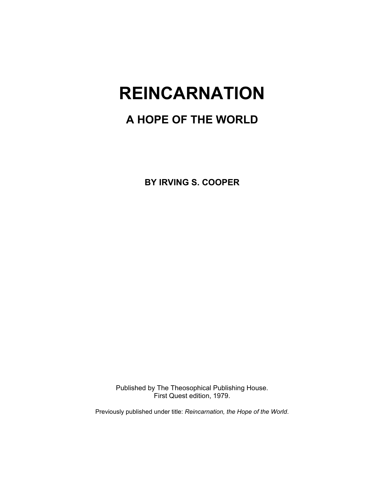# **REINCARNATION**

# **A HOPE OF THE WORLD**

**BY IRVING S. COOPER** 

Published by The Theosophical Publishing House. First Quest edition, 1979.

Previously published under title: *Reincarnation, the Hope of the World*.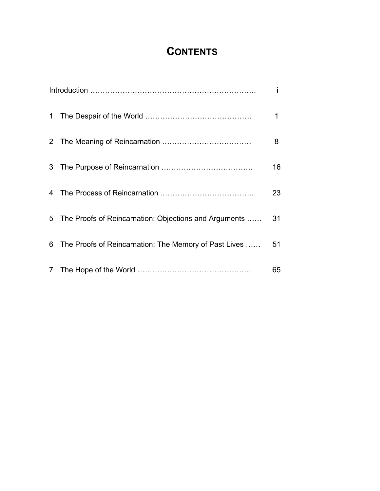# **CONTENTS**

|             |                                                       | i  |
|-------------|-------------------------------------------------------|----|
| $\mathbf 1$ |                                                       | 1  |
|             |                                                       | 8  |
| 3           |                                                       | 16 |
|             |                                                       | 23 |
| 5           | The Proofs of Reincarnation: Objections and Arguments | 31 |
| 6           | The Proofs of Reincarnation: The Memory of Past Lives | 51 |
|             |                                                       | 65 |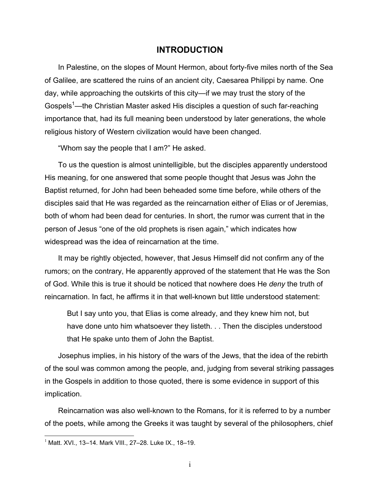# **INTRODUCTION**

In Palestine, on the slopes of Mount Hermon, about forty-five miles north of the Sea of Galilee, are scattered the ruins of an ancient city, Caesarea Philippi by name. One day, while approaching the outskirts of this city—if we may trust the story of the Gospels<sup>1</sup>—the Christian Master asked His disciples a question of such far-reaching importance that, had its full meaning been understood by later generations, the whole religious history of Western civilization would have been changed.

"Whom say the people that I am?" He asked.

To us the question is almost unintelligible, but the disciples apparently understood His meaning, for one answered that some people thought that Jesus was John the Baptist returned, for John had been beheaded some time before, while others of the disciples said that He was regarded as the reincarnation either of Elias or of Jeremias, both of whom had been dead for centuries. In short, the rumor was current that in the person of Jesus "one of the old prophets is risen again," which indicates how widespread was the idea of reincarnation at the time.

It may be rightly objected, however, that Jesus Himself did not confirm any of the rumors; on the contrary, He apparently approved of the statement that He was the Son of God. While this is true it should be noticed that nowhere does He *deny* the truth of reincarnation. In fact, he affirms it in that well-known but little understood statement:

But I say unto you, that Elias is come already, and they knew him not, but have done unto him whatsoever they listeth. . . Then the disciples understood that He spake unto them of John the Baptist.

Josephus implies, in his history of the wars of the Jews, that the idea of the rebirth of the soul was common among the people, and, judging from several striking passages in the Gospels in addition to those quoted, there is some evidence in support of this implication.

Reincarnation was also well-known to the Romans, for it is referred to by a number of the poets, while among the Greeks it was taught by several of the philosophers, chief

<u>.</u>

<sup>1</sup> Matt. XVI*.*, 13–14*.* Mark VIII*.*, 27–28*.* Luke IX*.*, 18–19.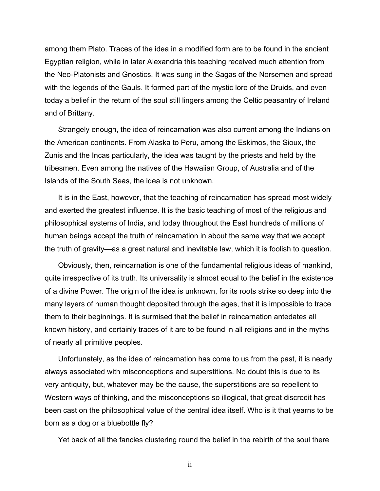among them Plato. Traces of the idea in a modified form are to be found in the ancient Egyptian religion, while in later Alexandria this teaching received much attention from the Neo-Platonists and Gnostics. It was sung in the Sagas of the Norsemen and spread with the legends of the Gauls. It formed part of the mystic lore of the Druids, and even today a belief in the return of the soul still lingers among the Celtic peasantry of Ireland and of Brittany.

Strangely enough, the idea of reincarnation was also current among the Indians on the American continents. From Alaska to Peru, among the Eskimos, the Sioux, the Zunis and the Incas particularly, the idea was taught by the priests and held by the tribesmen. Even among the natives of the Hawaiian Group, of Australia and of the Islands of the South Seas, the idea is not unknown.

It is in the East, however, that the teaching of reincarnation has spread most widely and exerted the greatest influence. It is the basic teaching of most of the religious and philosophical systems of India, and today throughout the East hundreds of millions of human beings accept the truth of reincarnation in about the same way that we accept the truth of gravity—as a great natural and inevitable law, which it is foolish to question.

Obviously, then, reincarnation is one of the fundamental religious ideas of mankind, quite irrespective of its truth. Its universality is almost equal to the belief in the existence of a divine Power. The origin of the idea is unknown, for its roots strike so deep into the many layers of human thought deposited through the ages, that it is impossible to trace them to their beginnings. It is surmised that the belief in reincarnation antedates all known history, and certainly traces of it are to be found in all religions and in the myths of nearly all primitive peoples.

Unfortunately, as the idea of reincarnation has come to us from the past, it is nearly always associated with misconceptions and superstitions. No doubt this is due to its very antiquity, but, whatever may be the cause, the superstitions are so repellent to Western ways of thinking, and the misconceptions so illogical, that great discredit has been cast on the philosophical value of the central idea itself. Who is it that yearns to be born as a dog or a bluebottle fly?

Yet back of all the fancies clustering round the belief in the rebirth of the soul there

ii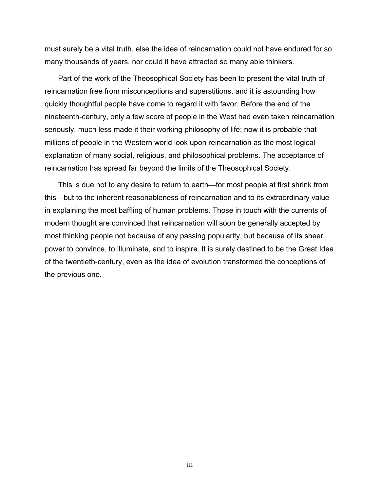must surely be a vital truth, else the idea of reincarnation could not have endured for so many thousands of years, nor could it have attracted so many able thinkers.

Part of the work of the Theosophical Society has been to present the vital truth of reincarnation free from misconceptions and superstitions, and it is astounding how quickly thoughtful people have come to regard it with favor. Before the end of the nineteenth-century, only a few score of people in the West had even taken reincarnation seriously, much less made it their working philosophy of life; now it is probable that millions of people in the Western world look upon reincarnation as the most logical explanation of many social, religious, and philosophical problems. The acceptance of reincarnation has spread far beyond the limits of the Theosophical Society.

This is due not to any desire to return to earth—for most people at first shrink from this—but to the inherent reasonableness of reincarnation and to its extraordinary value in explaining the most baffling of human problems. Those in touch with the currents of modern thought are convinced that reincarnation will soon be generally accepted by most thinking people not because of any passing popularity, but because of its sheer power to convince, to illuminate, and to inspire. It is surely destined to be the Great Idea of the twentieth-century, even as the idea of evolution transformed the conceptions of the previous one.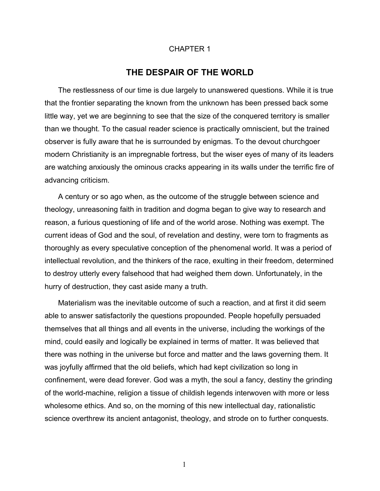#### CHAPTER 1

# **THE DESPAIR OF THE WORLD**

The restlessness of our time is due largely to unanswered questions. While it is true that the frontier separating the known from the unknown has been pressed back some little way, yet we are beginning to see that the size of the conquered territory is smaller than we thought. To the casual reader science is practically omniscient, but the trained observer is fully aware that he is surrounded by enigmas. To the devout churchgoer modern Christianity is an impregnable fortress, but the wiser eyes of many of its leaders are watching anxiously the ominous cracks appearing in its walls under the terrific fire of advancing criticism.

A century or so ago when, as the outcome of the struggle between science and theology, unreasoning faith in tradition and dogma began to give way to research and reason, a furious questioning of life and of the world arose. Nothing was exempt. The current ideas of God and the soul, of revelation and destiny, were torn to fragments as thoroughly as every speculative conception of the phenomenal world. It was a period of intellectual revolution, and the thinkers of the race, exulting in their freedom, determined to destroy utterly every falsehood that had weighed them down. Unfortunately, in the hurry of destruction, they cast aside many a truth.

Materialism was the inevitable outcome of such a reaction, and at first it did seem able to answer satisfactorily the questions propounded. People hopefully persuaded themselves that all things and all events in the universe, including the workings of the mind, could easily and logically be explained in terms of matter. It was believed that there was nothing in the universe but force and matter and the laws governing them. It was joyfully affirmed that the old beliefs, which had kept civilization so long in confinement, were dead forever. God was a myth, the soul a fancy, destiny the grinding of the world-machine, religion a tissue of childish legends interwoven with more or less wholesome ethics. And so, on the morning of this new intellectual day, rationalistic science overthrew its ancient antagonist, theology, and strode on to further conquests.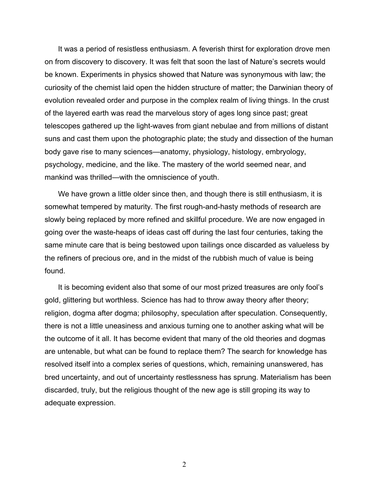It was a period of resistless enthusiasm. A feverish thirst for exploration drove men on from discovery to discovery. It was felt that soon the last of Nature's secrets would be known. Experiments in physics showed that Nature was synonymous with law; the curiosity of the chemist laid open the hidden structure of matter; the Darwinian theory of evolution revealed order and purpose in the complex realm of living things. In the crust of the layered earth was read the marvelous story of ages long since past; great telescopes gathered up the light-waves from giant nebulae and from millions of distant suns and cast them upon the photographic plate; the study and dissection of the human body gave rise to many sciences—anatomy, physiology, histology, embryology, psychology, medicine, and the like. The mastery of the world seemed near, and mankind was thrilled—with the omniscience of youth.

We have grown a little older since then, and though there is still enthusiasm, it is somewhat tempered by maturity. The first rough-and-hasty methods of research are slowly being replaced by more refined and skillful procedure. We are now engaged in going over the waste-heaps of ideas cast off during the last four centuries, taking the same minute care that is being bestowed upon tailings once discarded as valueless by the refiners of precious ore, and in the midst of the rubbish much of value is being found.

It is becoming evident also that some of our most prized treasures are only fool's gold, glittering but worthless. Science has had to throw away theory after theory; religion, dogma after dogma; philosophy, speculation after speculation. Consequently, there is not a little uneasiness and anxious turning one to another asking what will be the outcome of it all. It has become evident that many of the old theories and dogmas are untenable, but what can be found to replace them? The search for knowledge has resolved itself into a complex series of questions, which, remaining unanswered, has bred uncertainty, and out of uncertainty restlessness has sprung. Materialism has been discarded, truly, but the religious thought of the new age is still groping its way to adequate expression.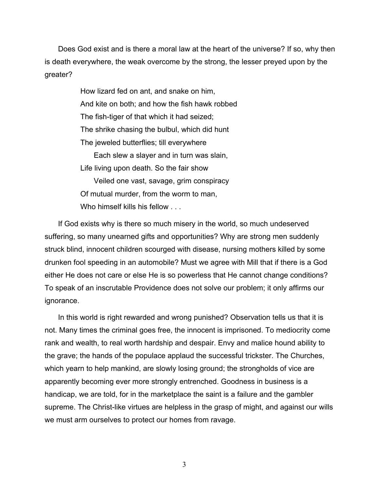Does God exist and is there a moral law at the heart of the universe? If so, why then is death everywhere, the weak overcome by the strong, the lesser preyed upon by the greater?

> How lizard fed on ant, and snake on him, And kite on both; and how the fish hawk robbed The fish-tiger of that which it had seized; The shrike chasing the bulbul, which did hunt The jeweled butterflies; till everywhere Each slew a slayer and in turn was slain, Life living upon death. So the fair show Veiled one vast, savage, grim conspiracy Of mutual murder, from the worm to man, Who himself kills his fellow . . .

If God exists why is there so much misery in the world, so much undeserved suffering, so many unearned gifts and opportunities? Why are strong men suddenly struck blind, innocent children scourged with disease, nursing mothers killed by some drunken fool speeding in an automobile? Must we agree with Mill that if there is a God either He does not care or else He is so powerless that He cannot change conditions? To speak of an inscrutable Providence does not solve our problem; it only affirms our ignorance.

In this world is right rewarded and wrong punished? Observation tells us that it is not. Many times the criminal goes free, the innocent is imprisoned. To mediocrity come rank and wealth, to real worth hardship and despair. Envy and malice hound ability to the grave; the hands of the populace applaud the successful trickster. The Churches, which yearn to help mankind, are slowly losing ground; the strongholds of vice are apparently becoming ever more strongly entrenched. Goodness in business is a handicap, we are told, for in the marketplace the saint is a failure and the gambler supreme. The Christ-like virtues are helpless in the grasp of might, and against our wills we must arm ourselves to protect our homes from ravage.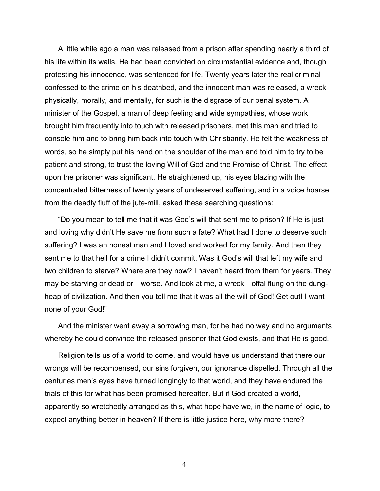A little while ago a man was released from a prison after spending nearly a third of his life within its walls. He had been convicted on circumstantial evidence and, though protesting his innocence, was sentenced for life. Twenty years later the real criminal confessed to the crime on his deathbed, and the innocent man was released, a wreck physically, morally, and mentally, for such is the disgrace of our penal system. A minister of the Gospel, a man of deep feeling and wide sympathies, whose work brought him frequently into touch with released prisoners, met this man and tried to console him and to bring him back into touch with Christianity. He felt the weakness of words, so he simply put his hand on the shoulder of the man and told him to try to be patient and strong, to trust the loving Will of God and the Promise of Christ. The effect upon the prisoner was significant. He straightened up, his eyes blazing with the concentrated bitterness of twenty years of undeserved suffering, and in a voice hoarse from the deadly fluff of the jute-mill, asked these searching questions:

"Do you mean to tell me that it was God's will that sent me to prison? If He is just and loving why didn't He save me from such a fate? What had I done to deserve such suffering? I was an honest man and I loved and worked for my family. And then they sent me to that hell for a crime I didn't commit. Was it God's will that left my wife and two children to starve? Where are they now? I haven't heard from them for years. They may be starving or dead or—worse. And look at me, a wreck—offal flung on the dungheap of civilization. And then you tell me that it was all the will of God! Get out! I want none of your God!"

And the minister went away a sorrowing man, for he had no way and no arguments whereby he could convince the released prisoner that God exists, and that He is good.

Religion tells us of a world to come, and would have us understand that there our wrongs will be recompensed, our sins forgiven, our ignorance dispelled. Through all the centuries men's eyes have turned longingly to that world, and they have endured the trials of this for what has been promised hereafter. But if God created a world, apparently so wretchedly arranged as this, what hope have we, in the name of logic, to expect anything better in heaven? If there is little justice here, why more there?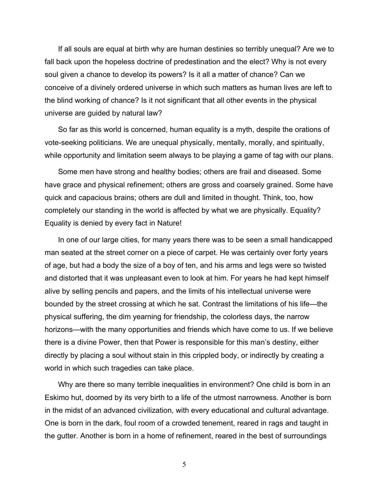If all souls are equal at birth why are human destinies so terribly unequal? Are we to fall back upon the hopeless doctrine of predestination and the elect? Why is not every soul given a chance to develop its powers? Is it all a matter of chance? Can we conceive of a divinely ordered universe in which such matters as human lives are left to the blind working of chance? Is it not significant that all other events in the physical universe are guided by natural law?

So far as this world is concerned, human equality is a myth, despite the orations of vote-seeking politicians. We are unequal physically, mentally, morally, and spiritually, while opportunity and limitation seem always to be playing a game of tag with our plans.

Some men have strong and healthy bodies; others are frail and diseased. Some have grace and physical refinement; others are gross and coarsely grained. Some have quick and capacious brains; others are dull and limited in thought. Think, too, how completely our standing in the world is affected by what we are physically. Equality? Equality is denied by every fact in Nature!

In one of our large cities, for many years there was to be seen a small handicapped man seated at the street corner on a piece of carpet. He was certainly over forty years of age, but had a body the size of a boy of ten, and his arms and legs were so twisted and distorted that it was unpleasant even to look at him. For years he had kept himself alive by selling pencils and papers, and the limits of his intellectual universe were bounded by the street crossing at which he sat. Contrast the limitations of his life—the physical suffering, the dim yearning for friendship, the colorless days, the narrow horizons—with the many opportunities and friends which have come to us. If we believe there is a divine Power, then that Power is responsible for this man's destiny, either directly by placing a soul without stain in this crippled body, or indirectly by creating a world in which such tragedies can take place.

Why are there so many terrible inequalities in environment? One child is born in an Eskimo hut, doomed by its very birth to a life of the utmost narrowness. Another is born in the midst of an advanced civilization, with every educational and cultural advantage. One is born in the dark, foul room of a crowded tenement, reared in rags and taught in the gutter. Another is born in a home of refinement, reared in the best of surroundings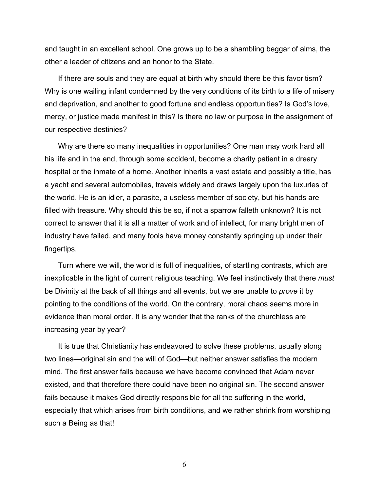and taught in an excellent school. One grows up to be a shambling beggar of alms, the other a leader of citizens and an honor to the State.

If there *are* souls and they are equal at birth why should there be this favoritism? Why is one wailing infant condemned by the very conditions of its birth to a life of misery and deprivation, and another to good fortune and endless opportunities? Is God's love, mercy, or justice made manifest in this? Is there no law or purpose in the assignment of our respective destinies?

Why are there so many inequalities in opportunities? One man may work hard all his life and in the end, through some accident, become a charity patient in a dreary hospital or the inmate of a home. Another inherits a vast estate and possibly a title, has a yacht and several automobiles, travels widely and draws largely upon the luxuries of the world. He is an idler, a parasite, a useless member of society, but his hands are filled with treasure. Why should this be so, if not a sparrow falleth unknown? It is not correct to answer that it is all a matter of work and of intellect, for many bright men of industry have failed, and many fools have money constantly springing up under their fingertips.

Turn where we will, the world is full of inequalities, of startling contrasts, which are inexplicable in the light of current religious teaching. We feel instinctively that there *must* be Divinity at the back of all things and all events, but we are unable to *prove* it by pointing to the conditions of the world. On the contrary, moral chaos seems more in evidence than moral order. It is any wonder that the ranks of the churchless are increasing year by year?

It is true that Christianity has endeavored to solve these problems, usually along two lines—original sin and the will of God—but neither answer satisfies the modern mind. The first answer fails because we have become convinced that Adam never existed, and that therefore there could have been no original sin. The second answer fails because it makes God directly responsible for all the suffering in the world, especially that which arises from birth conditions, and we rather shrink from worshiping such a Being as that!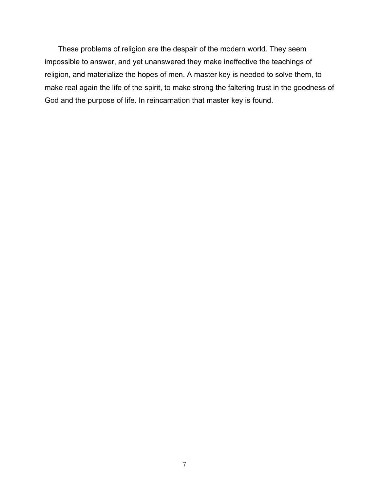These problems of religion are the despair of the modern world. They seem impossible to answer, and yet unanswered they make ineffective the teachings of religion, and materialize the hopes of men. A master key is needed to solve them, to make real again the life of the spirit, to make strong the faltering trust in the goodness of God and the purpose of life. In reincarnation that master key is found.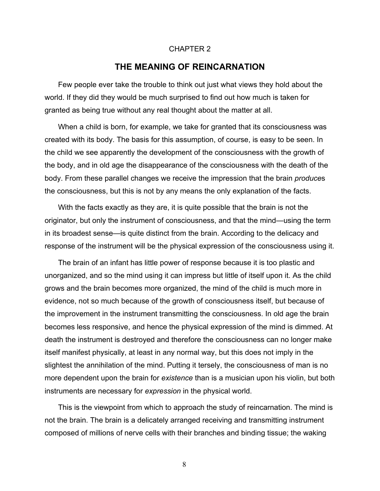#### CHAPTER 2

### **THE MEANING OF REINCARNATION**

Few people ever take the trouble to think out just what views they hold about the world. If they did they would be much surprised to find out how much is taken for granted as being true without any real thought about the matter at all.

When a child is born, for example, we take for granted that its consciousness was created with its body. The basis for this assumption, of course, is easy to be seen. In the child we see apparently the development of the consciousness with the growth of the body, and in old age the disappearance of the consciousness with the death of the body. From these parallel changes we receive the impression that the brain *produce*s the consciousness, but this is not by any means the only explanation of the facts.

With the facts exactly as they are, it is quite possible that the brain is not the originator, but only the instrument of consciousness, and that the mind—using the term in its broadest sense—is quite distinct from the brain. According to the delicacy and response of the instrument will be the physical expression of the consciousness using it.

The brain of an infant has little power of response because it is too plastic and unorganized, and so the mind using it can impress but little of itself upon it. As the child grows and the brain becomes more organized, the mind of the child is much more in evidence, not so much because of the growth of consciousness itself, but because of the improvement in the instrument transmitting the consciousness. In old age the brain becomes less responsive, and hence the physical expression of the mind is dimmed. At death the instrument is destroyed and therefore the consciousness can no longer make itself manifest physically, at least in any normal way, but this does not imply in the slightest the annihilation of the mind. Putting it tersely, the consciousness of man is no more dependent upon the brain for *existence* than is a musician upon his violin, but both instruments are necessary for *expression* in the physical world.

This is the viewpoint from which to approach the study of reincarnation. The mind is not the brain. The brain is a delicately arranged receiving and transmitting instrument composed of millions of nerve cells with their branches and binding tissue; the waking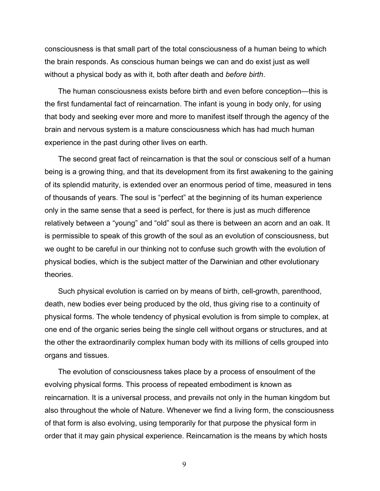consciousness is that small part of the total consciousness of a human being to which the brain responds. As conscious human beings we can and do exist just as well without a physical body as with it, both after death and *before birth*.

The human consciousness exists before birth and even before conception—this is the first fundamental fact of reincarnation. The infant is young in body only, for using that body and seeking ever more and more to manifest itself through the agency of the brain and nervous system is a mature consciousness which has had much human experience in the past during other lives on earth.

The second great fact of reincarnation is that the soul or conscious self of a human being is a growing thing, and that its development from its first awakening to the gaining of its splendid maturity, is extended over an enormous period of time, measured in tens of thousands of years. The soul is "perfect" at the beginning of its human experience only in the same sense that a seed is perfect, for there is just as much difference relatively between a "young" and "old" soul as there is between an acorn and an oak. It is permissible to speak of this growth of the soul as an evolution of consciousness, but we ought to be careful in our thinking not to confuse such growth with the evolution of physical bodies, which is the subject matter of the Darwinian and other evolutionary theories.

Such physical evolution is carried on by means of birth, cell-growth, parenthood, death, new bodies ever being produced by the old, thus giving rise to a continuity of physical forms. The whole tendency of physical evolution is from simple to complex, at one end of the organic series being the single cell without organs or structures, and at the other the extraordinarily complex human body with its millions of cells grouped into organs and tissues.

The evolution of consciousness takes place by a process of ensoulment of the evolving physical forms. This process of repeated embodiment is known as reincarnation. It is a universal process, and prevails not only in the human kingdom but also throughout the whole of Nature. Whenever we find a living form, the consciousness of that form is also evolving, using temporarily for that purpose the physical form in order that it may gain physical experience. Reincarnation is the means by which hosts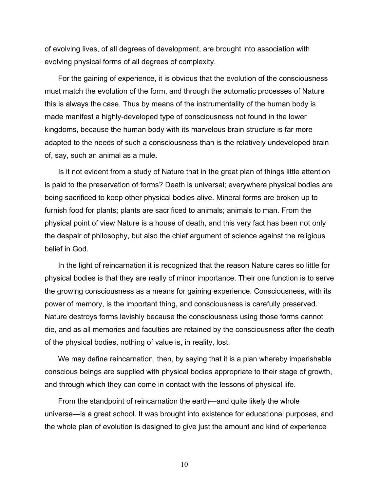of evolving lives, of all degrees of development, are brought into association with evolving physical forms of all degrees of complexity.

For the gaining of experience, it is obvious that the evolution of the consciousness must match the evolution of the form, and through the automatic processes of Nature this is always the case. Thus by means of the instrumentality of the human body is made manifest a highly-developed type of consciousness not found in the lower kingdoms, because the human body with its marvelous brain structure is far more adapted to the needs of such a consciousness than is the relatively undeveloped brain of, say, such an animal as a mule.

Is it not evident from a study of Nature that in the great plan of things little attention is paid to the preservation of forms? Death is universal; everywhere physical bodies are being sacrificed to keep other physical bodies alive. Mineral forms are broken up to furnish food for plants; plants are sacrificed to animals; animals to man. From the physical point of view Nature is a house of death, and this very fact has been not only the despair of philosophy, but also the chief argument of science against the religious belief in God.

In the light of reincarnation it is recognized that the reason Nature cares so little for physical bodies is that they are really of minor importance. Their one function is to serve the growing consciousness as a means for gaining experience. Consciousness, with its power of memory, is the important thing, and consciousness is carefully preserved. Nature destroys forms lavishly because the consciousness using those forms cannot die, and as all memories and faculties are retained by the consciousness after the death of the physical bodies, nothing of value is, in reality, lost.

We may define reincarnation, then, by saying that it is a plan whereby imperishable conscious beings are supplied with physical bodies appropriate to their stage of growth, and through which they can come in contact with the lessons of physical life.

From the standpoint of reincarnation the earth—and quite likely the whole universe—is a great school. It was brought into existence for educational purposes, and the whole plan of evolution is designed to give just the amount and kind of experience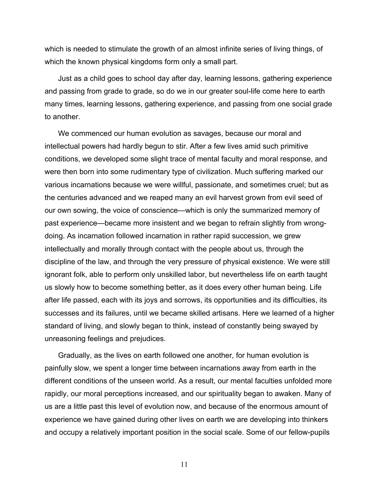which is needed to stimulate the growth of an almost infinite series of living things, of which the known physical kingdoms form only a small part.

Just as a child goes to school day after day, learning lessons, gathering experience and passing from grade to grade, so do we in our greater soul-life come here to earth many times, learning lessons, gathering experience, and passing from one social grade to another.

We commenced our human evolution as savages, because our moral and intellectual powers had hardly begun to stir. After a few lives amid such primitive conditions, we developed some slight trace of mental faculty and moral response, and were then born into some rudimentary type of civilization. Much suffering marked our various incarnations because we were willful, passionate, and sometimes cruel; but as the centuries advanced and we reaped many an evil harvest grown from evil seed of our own sowing, the voice of conscience—which is only the summarized memory of past experience—became more insistent and we began to refrain slightly from wrongdoing. As incarnation followed incarnation in rather rapid succession, we grew intellectually and morally through contact with the people about us, through the discipline of the law, and through the very pressure of physical existence. We were still ignorant folk, able to perform only unskilled labor, but nevertheless life on earth taught us slowly how to become something better, as it does every other human being. Life after life passed, each with its joys and sorrows, its opportunities and its difficulties, its successes and its failures, until we became skilled artisans. Here we learned of a higher standard of living, and slowly began to think, instead of constantly being swayed by unreasoning feelings and prejudices.

Gradually, as the lives on earth followed one another, for human evolution is painfully slow, we spent a longer time between incarnations away from earth in the different conditions of the unseen world. As a result, our mental faculties unfolded more rapidly, our moral perceptions increased, and our spirituality began to awaken. Many of us are a little past this level of evolution now, and because of the enormous amount of experience we have gained during other lives on earth we are developing into thinkers and occupy a relatively important position in the social scale. Some of our fellow-pupils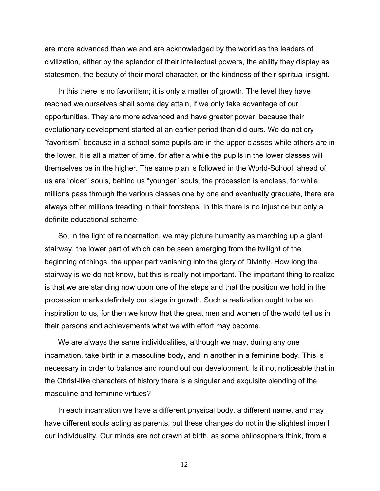are more advanced than we and are acknowledged by the world as the leaders of civilization, either by the splendor of their intellectual powers, the ability they display as statesmen, the beauty of their moral character, or the kindness of their spiritual insight.

In this there is no favoritism; it is only a matter of growth. The level they have reached we ourselves shall some day attain, if we only take advantage of our opportunities. They are more advanced and have greater power, because their evolutionary development started at an earlier period than did ours. We do not cry "favoritism" because in a school some pupils are in the upper classes while others are in the lower. It is all a matter of time, for after a while the pupils in the lower classes will themselves be in the higher. The same plan is followed in the World-School; ahead of us are "older" souls, behind us "younger" souls, the procession is endless, for while millions pass through the various classes one by one and eventually graduate, there are always other millions treading in their footsteps. In this there is no injustice but only a definite educational scheme.

So, in the light of reincarnation, we may picture humanity as marching up a giant stairway, the lower part of which can be seen emerging from the twilight of the beginning of things, the upper part vanishing into the glory of Divinity. How long the stairway is we do not know, but this is really not important. The important thing to realize is that we are standing now upon one of the steps and that the position we hold in the procession marks definitely our stage in growth. Such a realization ought to be an inspiration to us, for then we know that the great men and women of the world tell us in their persons and achievements what we with effort may become.

We are always the same individualities, although we may, during any one incarnation, take birth in a masculine body, and in another in a feminine body. This is necessary in order to balance and round out our development. Is it not noticeable that in the Christ-like characters of history there is a singular and exquisite blending of the masculine and feminine virtues?

In each incarnation we have a different physical body, a different name, and may have different souls acting as parents, but these changes do not in the slightest imperil our individuality. Our minds are not drawn at birth, as some philosophers think, from a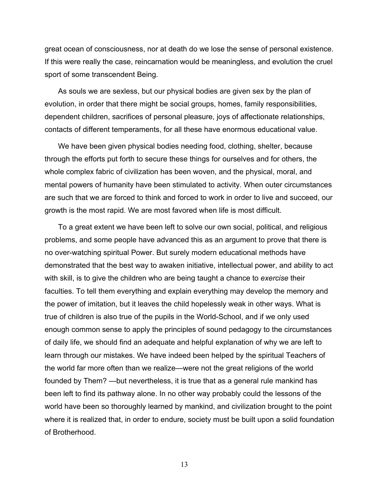great ocean of consciousness, nor at death do we lose the sense of personal existence. If this were really the case, reincarnation would be meaningless, and evolution the cruel sport of some transcendent Being.

As souls we are sexless, but our physical bodies are given sex by the plan of evolution, in order that there might be social groups, homes, family responsibilities, dependent children, sacrifices of personal pleasure, joys of affectionate relationships, contacts of different temperaments, for all these have enormous educational value.

We have been given physical bodies needing food, clothing, shelter, because through the efforts put forth to secure these things for ourselves and for others, the whole complex fabric of civilization has been woven, and the physical, moral, and mental powers of humanity have been stimulated to activity. When outer circumstances are such that we are forced to think and forced to work in order to live and succeed, our growth is the most rapid. We are most favored when life is most difficult.

To a great extent we have been left to solve our own social, political, and religious problems, and some people have advanced this as an argument to prove that there is no over-watching spiritual Power. But surely modern educational methods have demonstrated that the best way to awaken initiative, intellectual power, and ability to act with skill, is to give the children who are being taught a chance to *exercise* their faculties. To tell them everything and explain everything may develop the memory and the power of imitation, but it leaves the child hopelessly weak in other ways. What is true of children is also true of the pupils in the World-School, and if we only used enough common sense to apply the principles of sound pedagogy to the circumstances of daily life, we should find an adequate and helpful explanation of why we are left to learn through our mistakes. We have indeed been helped by the spiritual Teachers of the world far more often than we realize—were not the great religions of the world founded by Them? —but nevertheless, it is true that as a general rule mankind has been left to find its pathway alone. In no other way probably could the lessons of the world have been so thoroughly learned by mankind, and civilization brought to the point where it is realized that, in order to endure, society must be built upon a solid foundation of Brotherhood.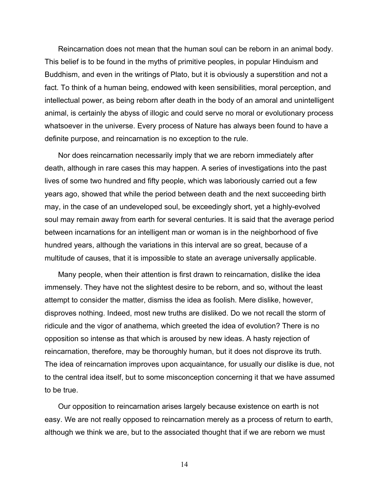Reincarnation does not mean that the human soul can be reborn in an animal body. This belief is to be found in the myths of primitive peoples, in popular Hinduism and Buddhism, and even in the writings of Plato, but it is obviously a superstition and not a fact. To think of a human being, endowed with keen sensibilities, moral perception, and intellectual power, as being reborn after death in the body of an amoral and unintelligent animal, is certainly the abyss of illogic and could serve no moral or evolutionary process whatsoever in the universe. Every process of Nature has always been found to have a definite purpose, and reincarnation is no exception to the rule.

Nor does reincarnation necessarily imply that we are reborn immediately after death, although in rare cases this may happen. A series of investigations into the past lives of some two hundred and fifty people, which was laboriously carried out a few years ago, showed that while the period between death and the next succeeding birth may, in the case of an undeveloped soul, be exceedingly short, yet a highly-evolved soul may remain away from earth for several centuries. It is said that the average period between incarnations for an intelligent man or woman is in the neighborhood of five hundred years, although the variations in this interval are so great, because of a multitude of causes, that it is impossible to state an average universally applicable.

Many people, when their attention is first drawn to reincarnation, dislike the idea immensely. They have not the slightest desire to be reborn, and so, without the least attempt to consider the matter, dismiss the idea as foolish. Mere dislike, however, disproves nothing. Indeed, most new truths are disliked. Do we not recall the storm of ridicule and the vigor of anathema, which greeted the idea of evolution? There is no opposition so intense as that which is aroused by new ideas. A hasty rejection of reincarnation, therefore, may be thoroughly human, but it does not disprove its truth. The idea of reincarnation improves upon acquaintance, for usually our dislike is due, not to the central idea itself, but to some misconception concerning it that we have assumed to be true.

Our opposition to reincarnation arises largely because existence on earth is not easy. We are not really opposed to reincarnation merely as a process of return to earth, although we think we are, but to the associated thought that if we are reborn we must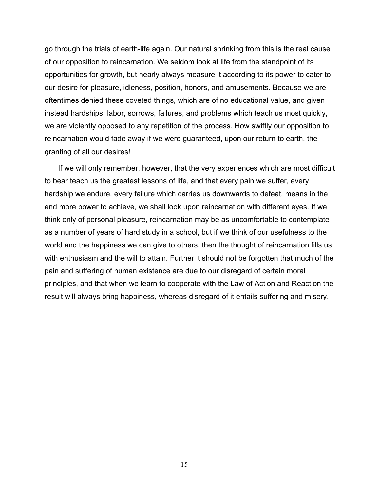go through the trials of earth-life again. Our natural shrinking from this is the real cause of our opposition to reincarnation. We seldom look at life from the standpoint of its opportunities for growth, but nearly always measure it according to its power to cater to our desire for pleasure, idleness, position, honors, and amusements. Because we are oftentimes denied these coveted things, which are of no educational value, and given instead hardships, labor, sorrows, failures, and problems which teach us most quickly, we are violently opposed to any repetition of the process. How swiftly our opposition to reincarnation would fade away if we were guaranteed, upon our return to earth, the granting of all our desires!

If we will only remember, however, that the very experiences which are most difficult to bear teach us the greatest lessons of life, and that every pain we suffer, every hardship we endure, every failure which carries us downwards to defeat, means in the end more power to achieve, we shall look upon reincarnation with different eyes. If we think only of personal pleasure, reincarnation may be as uncomfortable to contemplate as a number of years of hard study in a school, but if we think of our usefulness to the world and the happiness we can give to others, then the thought of reincarnation fills us with enthusiasm and the will to attain. Further it should not be forgotten that much of the pain and suffering of human existence are due to our disregard of certain moral principles, and that when we learn to cooperate with the Law of Action and Reaction the result will always bring happiness, whereas disregard of it entails suffering and misery.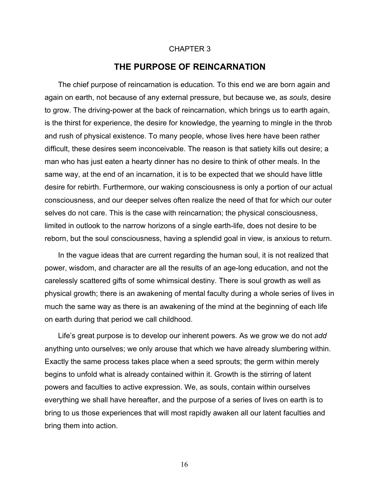#### CHAPTER 3

# **THE PURPOSE OF REINCARNATION**

The chief purpose of reincarnation is education. To this end we are born again and again on earth, not because of any external pressure, but because we, as *souls*, desire to grow. The driving-power at the back of reincarnation, which brings us to earth again, is the thirst for experience, the desire for knowledge, the yearning to mingle in the throb and rush of physical existence. To many people, whose lives here have been rather difficult, these desires seem inconceivable. The reason is that satiety kills out desire; a man who has just eaten a hearty dinner has no desire to think of other meals. In the same way, at the end of an incarnation, it is to be expected that we should have little desire for rebirth. Furthermore, our waking consciousness is only a portion of our actual consciousness, and our deeper selves often realize the need of that for which our outer selves do not care. This is the case with reincarnation; the physical consciousness, limited in outlook to the narrow horizons of a single earth-life, does not desire to be reborn, but the soul consciousness, having a splendid goal in view, is anxious to return.

In the vague ideas that are current regarding the human soul, it is not realized that power, wisdom, and character are all the results of an age-long education, and not the carelessly scattered gifts of some whimsical destiny. There is soul growth as well as physical growth; there is an awakening of mental faculty during a whole series of lives in much the same way as there is an awakening of the mind at the beginning of each life on earth during that period we call childhood.

Life's great purpose is to develop our inherent powers. As we grow we do not *add* anything unto ourselves; we only arouse that which we have already slumbering within. Exactly the same process takes place when a seed sprouts; the germ within merely begins to unfold what is already contained within it. Growth is the stirring of latent powers and faculties to active expression. We, as souls, contain within ourselves everything we shall have hereafter, and the purpose of a series of lives on earth is to bring to us those experiences that will most rapidly awaken all our latent faculties and bring them into action.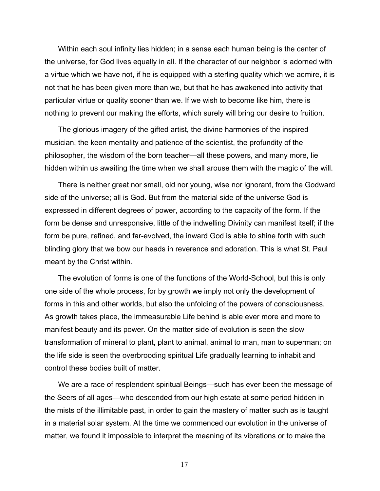Within each soul infinity lies hidden; in a sense each human being is the center of the universe, for God lives equally in all. If the character of our neighbor is adorned with a virtue which we have not, if he is equipped with a sterling quality which we admire, it is not that he has been given more than we, but that he has awakened into activity that particular virtue or quality sooner than we. If we wish to become like him, there is nothing to prevent our making the efforts, which surely will bring our desire to fruition.

The glorious imagery of the gifted artist, the divine harmonies of the inspired musician, the keen mentality and patience of the scientist, the profundity of the philosopher, the wisdom of the born teacher—all these powers, and many more, lie hidden within us awaiting the time when we shall arouse them with the magic of the will.

There is neither great nor small, old nor young, wise nor ignorant, from the Godward side of the universe; all is God. But from the material side of the universe God is expressed in different degrees of power, according to the capacity of the form. If the form be dense and unresponsive, little of the indwelling Divinity can manifest itself; if the form be pure, refined, and far-evolved, the inward God is able to shine forth with such blinding glory that we bow our heads in reverence and adoration. This is what St. Paul meant by the Christ within.

The evolution of forms is one of the functions of the World-School, but this is only one side of the whole process, for by growth we imply not only the development of forms in this and other worlds, but also the unfolding of the powers of consciousness. As growth takes place, the immeasurable Life behind is able ever more and more to manifest beauty and its power. On the matter side of evolution is seen the slow transformation of mineral to plant, plant to animal, animal to man, man to superman; on the life side is seen the overbrooding spiritual Life gradually learning to inhabit and control these bodies built of matter.

We are a race of resplendent spiritual Beings—such has ever been the message of the Seers of all ages—who descended from our high estate at some period hidden in the mists of the illimitable past, in order to gain the mastery of matter such as is taught in a material solar system. At the time we commenced our evolution in the universe of matter, we found it impossible to interpret the meaning of its vibrations or to make the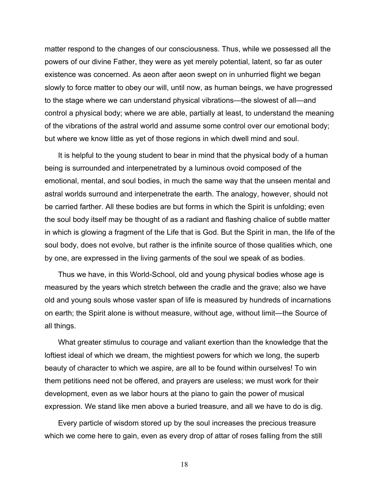matter respond to the changes of our consciousness. Thus, while we possessed all the powers of our divine Father, they were as yet merely potential, latent, so far as outer existence was concerned. As aeon after aeon swept on in unhurried flight we began slowly to force matter to obey our will, until now, as human beings, we have progressed to the stage where we can understand physical vibrations—the slowest of all—and control a physical body; where we are able, partially at least, to understand the meaning of the vibrations of the astral world and assume some control over our emotional body; but where we know little as yet of those regions in which dwell mind and soul.

It is helpful to the young student to bear in mind that the physical body of a human being is surrounded and interpenetrated by a luminous ovoid composed of the emotional, mental, and soul bodies, in much the same way that the unseen mental and astral worlds surround and interpenetrate the earth. The analogy, however, should not be carried farther. All these bodies are but forms in which the Spirit is unfolding; even the soul body itself may be thought of as a radiant and flashing chalice of subtle matter in which is glowing a fragment of the Life that is God. But the Spirit in man, the life of the soul body, does not evolve, but rather is the infinite source of those qualities which, one by one, are expressed in the living garments of the soul we speak of as bodies.

Thus we have, in this World-School, old and young physical bodies whose age is measured by the years which stretch between the cradle and the grave; also we have old and young souls whose vaster span of life is measured by hundreds of incarnations on earth; the Spirit alone is without measure, without age, without limit—the Source of all things.

What greater stimulus to courage and valiant exertion than the knowledge that the loftiest ideal of which we dream, the mightiest powers for which we long, the superb beauty of character to which we aspire, are all to be found within ourselves! To win them petitions need not be offered, and prayers are useless; we must work for their development, even as we labor hours at the piano to gain the power of musical expression. We stand like men above a buried treasure, and all we have to do is dig.

Every particle of wisdom stored up by the soul increases the precious treasure which we come here to gain, even as every drop of attar of roses falling from the still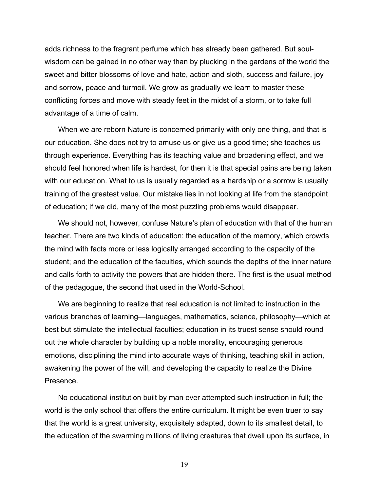adds richness to the fragrant perfume which has already been gathered. But soulwisdom can be gained in no other way than by plucking in the gardens of the world the sweet and bitter blossoms of love and hate, action and sloth, success and failure, joy and sorrow, peace and turmoil. We grow as gradually we learn to master these conflicting forces and move with steady feet in the midst of a storm, or to take full advantage of a time of calm.

When we are reborn Nature is concerned primarily with only one thing, and that is our education. She does not try to amuse us or give us a good time; she teaches us through experience. Everything has its teaching value and broadening effect, and we should feel honored when life is hardest, for then it is that special pains are being taken with our education. What to us is usually regarded as a hardship or a sorrow is usually training of the greatest value. Our mistake lies in not looking at life from the standpoint of education; if we did, many of the most puzzling problems would disappear.

We should not, however, confuse Nature's plan of education with that of the human teacher. There are two kinds of education: the education of the memory, which crowds the mind with facts more or less logically arranged according to the capacity of the student; and the education of the faculties, which sounds the depths of the inner nature and calls forth to activity the powers that are hidden there. The first is the usual method of the pedagogue, the second that used in the World-School.

We are beginning to realize that real education is not limited to instruction in the various branches of learning—languages, mathematics, science, philosophy—which at best but stimulate the intellectual faculties; education in its truest sense should round out the whole character by building up a noble morality, encouraging generous emotions, disciplining the mind into accurate ways of thinking, teaching skill in action, awakening the power of the will, and developing the capacity to realize the Divine Presence.

No educational institution built by man ever attempted such instruction in full; the world is the only school that offers the entire curriculum. It might be even truer to say that the world is a great university, exquisitely adapted, down to its smallest detail, to the education of the swarming millions of living creatures that dwell upon its surface, in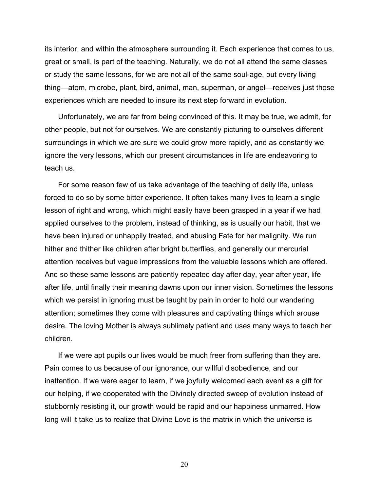its interior, and within the atmosphere surrounding it. Each experience that comes to us, great or small, is part of the teaching. Naturally, we do not all attend the same classes or study the same lessons, for we are not all of the same soul-age, but every living thing—atom, microbe, plant, bird, animal, man, superman, or angel—receives just those experiences which are needed to insure its next step forward in evolution.

Unfortunately, we are far from being convinced of this. It may be true, we admit, for other people, but not for ourselves. We are constantly picturing to ourselves different surroundings in which we are sure we could grow more rapidly, and as constantly we ignore the very lessons, which our present circumstances in life are endeavoring to teach us.

For some reason few of us take advantage of the teaching of daily life, unless forced to do so by some bitter experience. It often takes many lives to learn a single lesson of right and wrong, which might easily have been grasped in a year if we had applied ourselves to the problem, instead of thinking, as is usually our habit, that we have been injured or unhappily treated, and abusing Fate for her malignity. We run hither and thither like children after bright butterflies, and generally our mercurial attention receives but vague impressions from the valuable lessons which are offered. And so these same lessons are patiently repeated day after day, year after year, life after life, until finally their meaning dawns upon our inner vision. Sometimes the lessons which we persist in ignoring must be taught by pain in order to hold our wandering attention; sometimes they come with pleasures and captivating things which arouse desire. The loving Mother is always sublimely patient and uses many ways to teach her children.

If we were apt pupils our lives would be much freer from suffering than they are. Pain comes to us because of our ignorance, our willful disobedience, and our inattention. If we were eager to learn, if we joyfully welcomed each event as a gift for our helping, if we cooperated with the Divinely directed sweep of evolution instead of stubbornly resisting it, our growth would be rapid and our happiness unmarred. How long will it take us to realize that Divine Love is the matrix in which the universe is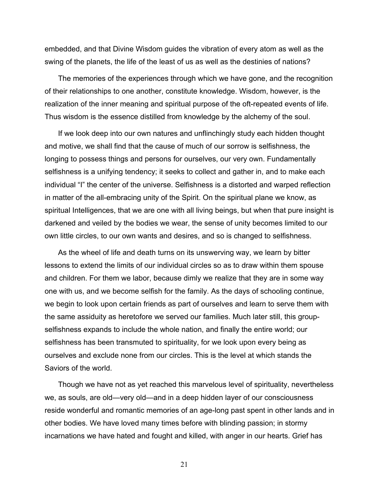embedded, and that Divine Wisdom guides the vibration of every atom as well as the swing of the planets, the life of the least of us as well as the destinies of nations?

The memories of the experiences through which we have gone, and the recognition of their relationships to one another, constitute knowledge. Wisdom, however, is the realization of the inner meaning and spiritual purpose of the oft-repeated events of life. Thus wisdom is the essence distilled from knowledge by the alchemy of the soul.

If we look deep into our own natures and unflinchingly study each hidden thought and motive, we shall find that the cause of much of our sorrow is selfishness, the longing to possess things and persons for ourselves, our very own. Fundamentally selfishness is a unifying tendency; it seeks to collect and gather in, and to make each individual "I" the center of the universe. Selfishness is a distorted and warped reflection in matter of the all-embracing unity of the Spirit. On the spiritual plane we know, as spiritual Intelligences, that we are one with all living beings, but when that pure insight is darkened and veiled by the bodies we wear, the sense of unity becomes limited to our own little circles, to our own wants and desires, and so is changed to selfishness.

As the wheel of life and death turns on its unswerving way, we learn by bitter lessons to extend the limits of our individual circles so as to draw within them spouse and children. For them we labor, because dimly we realize that they are in some way one with us, and we become selfish for the family. As the days of schooling continue, we begin to look upon certain friends as part of ourselves and learn to serve them with the same assiduity as heretofore we served our families. Much later still, this groupselfishness expands to include the whole nation, and finally the entire world; our selfishness has been transmuted to spirituality, for we look upon every being as ourselves and exclude none from our circles. This is the level at which stands the Saviors of the world.

Though we have not as yet reached this marvelous level of spirituality, nevertheless we, as souls, are old—very old—and in a deep hidden layer of our consciousness reside wonderful and romantic memories of an age-long past spent in other lands and in other bodies. We have loved many times before with blinding passion; in stormy incarnations we have hated and fought and killed, with anger in our hearts. Grief has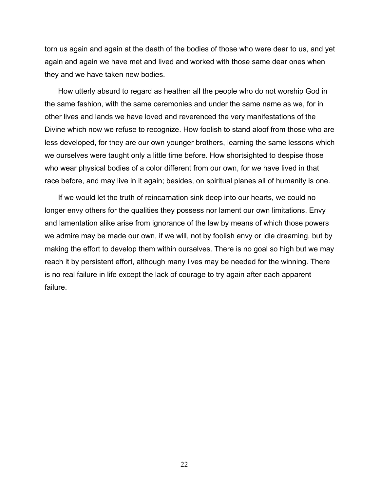torn us again and again at the death of the bodies of those who were dear to us, and yet again and again we have met and lived and worked with those same dear ones when they and we have taken new bodies.

How utterly absurd to regard as heathen all the people who do not worship God in the same fashion, with the same ceremonies and under the same name as we, for in other lives and lands we have loved and reverenced the very manifestations of the Divine which now we refuse to recognize. How foolish to stand aloof from those who are less developed, for they are our own younger brothers, learning the same lessons which we ourselves were taught only a little time before. How shortsighted to despise those who wear physical bodies of a color different from our own, for *we* have lived in that race before, and may live in it again; besides, on spiritual planes all of humanity is one.

If we would let the truth of reincarnation sink deep into our hearts, we could no longer envy others for the qualities they possess nor lament our own limitations. Envy and lamentation alike arise from ignorance of the law by means of which those powers we admire may be made our own, if we will, not by foolish envy or idle dreaming, but by making the effort to develop them within ourselves. There is no goal so high but we may reach it by persistent effort, although many lives may be needed for the winning. There is no real failure in life except the lack of courage to try again after each apparent failure.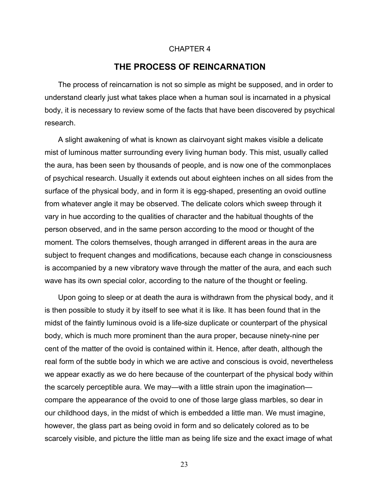#### CHAPTER 4

# **THE PROCESS OF REINCARNATION**

The process of reincarnation is not so simple as might be supposed, and in order to understand clearly just what takes place when a human soul is incarnated in a physical body, it is necessary to review some of the facts that have been discovered by psychical research.

A slight awakening of what is known as clairvoyant sight makes visible a delicate mist of luminous matter surrounding every living human body. This mist, usually called the aura, has been seen by thousands of people, and is now one of the commonplaces of psychical research. Usually it extends out about eighteen inches on all sides from the surface of the physical body, and in form it is egg-shaped, presenting an ovoid outline from whatever angle it may be observed. The delicate colors which sweep through it vary in hue according to the qualities of character and the habitual thoughts of the person observed, and in the same person according to the mood or thought of the moment. The colors themselves, though arranged in different areas in the aura are subject to frequent changes and modifications, because each change in consciousness is accompanied by a new vibratory wave through the matter of the aura, and each such wave has its own special color, according to the nature of the thought or feeling.

Upon going to sleep or at death the aura is withdrawn from the physical body, and it is then possible to study it by itself to see what it is like. It has been found that in the midst of the faintly luminous ovoid is a life-size duplicate or counterpart of the physical body, which is much more prominent than the aura proper, because ninety-nine per cent of the matter of the ovoid is contained within it. Hence, after death, although the real form of the subtle body in which we are active and conscious is ovoid, nevertheless we appear exactly as we do here because of the counterpart of the physical body within the scarcely perceptible aura. We may—with a little strain upon the imagination compare the appearance of the ovoid to one of those large glass marbles, so dear in our childhood days, in the midst of which is embedded a little man. We must imagine, however, the glass part as being ovoid in form and so delicately colored as to be scarcely visible, and picture the little man as being life size and the exact image of what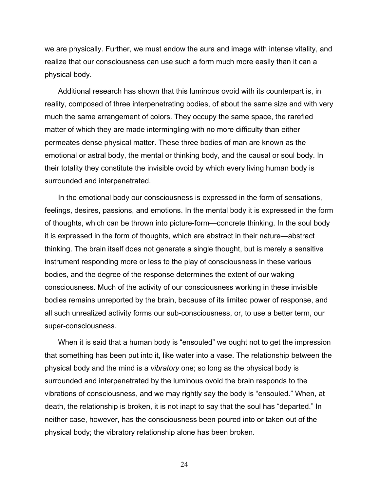we are physically. Further, we must endow the aura and image with intense vitality, and realize that our consciousness can use such a form much more easily than it can a physical body.

Additional research has shown that this luminous ovoid with its counterpart is, in reality, composed of three interpenetrating bodies, of about the same size and with very much the same arrangement of colors. They occupy the same space, the rarefied matter of which they are made intermingling with no more difficulty than either permeates dense physical matter. These three bodies of man are known as the emotional or astral body, the mental or thinking body, and the causal or soul body. In their totality they constitute the invisible ovoid by which every living human body is surrounded and interpenetrated.

In the emotional body our consciousness is expressed in the form of sensations, feelings, desires, passions, and emotions. In the mental body it is expressed in the form of thoughts, which can be thrown into picture-form—concrete thinking. In the soul body it is expressed in the form of thoughts, which are abstract in their nature—abstract thinking. The brain itself does not generate a single thought, but is merely a sensitive instrument responding more or less to the play of consciousness in these various bodies, and the degree of the response determines the extent of our waking consciousness. Much of the activity of our consciousness working in these invisible bodies remains unreported by the brain, because of its limited power of response, and all such unrealized activity forms our sub-consciousness, or, to use a better term, our super-consciousness.

When it is said that a human body is "ensouled" we ought not to get the impression that something has been put into it, like water into a vase. The relationship between the physical body and the mind is a *vibratory* one; so long as the physical body is surrounded and interpenetrated by the luminous ovoid the brain responds to the vibrations of consciousness, and we may rightly say the body is "ensouled." When, at death, the relationship is broken, it is not inapt to say that the soul has "departed." In neither case, however, has the consciousness been poured into or taken out of the physical body; the vibratory relationship alone has been broken.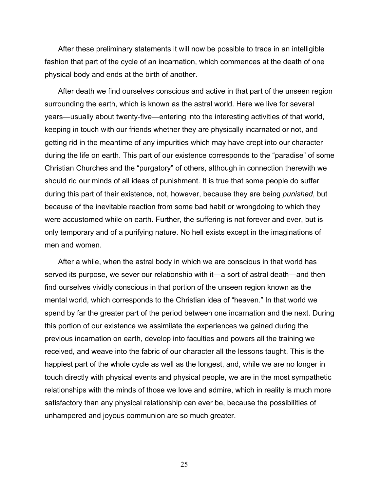After these preliminary statements it will now be possible to trace in an intelligible fashion that part of the cycle of an incarnation, which commences at the death of one physical body and ends at the birth of another.

After death we find ourselves conscious and active in that part of the unseen region surrounding the earth, which is known as the astral world. Here we live for several years—usually about twenty-five—entering into the interesting activities of that world, keeping in touch with our friends whether they are physically incarnated or not, and getting rid in the meantime of any impurities which may have crept into our character during the life on earth. This part of our existence corresponds to the "paradise" of some Christian Churches and the "purgatory" of others, although in connection therewith we should rid our minds of all ideas of punishment. It is true that some people do suffer during this part of their existence, not, however, because they are being *punished*, but because of the inevitable reaction from some bad habit or wrongdoing to which they were accustomed while on earth. Further, the suffering is not forever and ever, but is only temporary and of a purifying nature. No hell exists except in the imaginations of men and women.

After a while, when the astral body in which we are conscious in that world has served its purpose, we sever our relationship with it—a sort of astral death—and then find ourselves vividly conscious in that portion of the unseen region known as the mental world, which corresponds to the Christian idea of "heaven." In that world we spend by far the greater part of the period between one incarnation and the next. During this portion of our existence we assimilate the experiences we gained during the previous incarnation on earth, develop into faculties and powers all the training we received, and weave into the fabric of our character all the lessons taught. This is the happiest part of the whole cycle as well as the longest, and, while we are no longer in touch directly with physical events and physical people, we are in the most sympathetic relationships with the minds of those we love and admire, which in reality is much more satisfactory than any physical relationship can ever be, because the possibilities of unhampered and joyous communion are so much greater.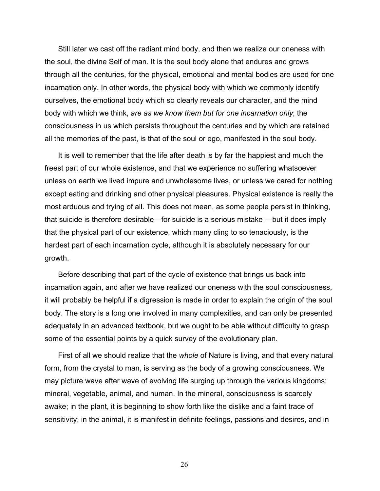Still later we cast off the radiant mind body, and then we realize our oneness with the soul, the divine Self of man. It is the soul body alone that endures and grows through all the centuries, for the physical, emotional and mental bodies are used for one incarnation only. In other words, the physical body with which we commonly identify ourselves, the emotional body which so clearly reveals our character, and the mind body with which we think, *are as we know them but for one incarnation only*; the consciousness in us which persists throughout the centuries and by which are retained all the memories of the past, is that of the soul or ego, manifested in the soul body.

It is well to remember that the life after death is by far the happiest and much the freest part of our whole existence, and that we experience no suffering whatsoever unless on earth we lived impure and unwholesome lives, or unless we cared for nothing except eating and drinking and other physical pleasures. Physical existence is really the most arduous and trying of all. This does not mean, as some people persist in thinking, that suicide is therefore desirable—for suicide is a serious mistake —but it does imply that the physical part of our existence, which many cling to so tenaciously, is the hardest part of each incarnation cycle, although it is absolutely necessary for our growth.

Before describing that part of the cycle of existence that brings us back into incarnation again, and after we have realized our oneness with the soul consciousness, it will probably be helpful if a digression is made in order to explain the origin of the soul body. The story is a long one involved in many complexities, and can only be presented adequately in an advanced textbook, but we ought to be able without difficulty to grasp some of the essential points by a quick survey of the evolutionary plan.

First of all we should realize that the *whole* of Nature is living, and that every natural form, from the crystal to man, is serving as the body of a growing consciousness. We may picture wave after wave of evolving life surging up through the various kingdoms: mineral, vegetable, animal, and human. In the mineral, consciousness is scarcely awake; in the plant, it is beginning to show forth like the dislike and a faint trace of sensitivity; in the animal, it is manifest in definite feelings, passions and desires, and in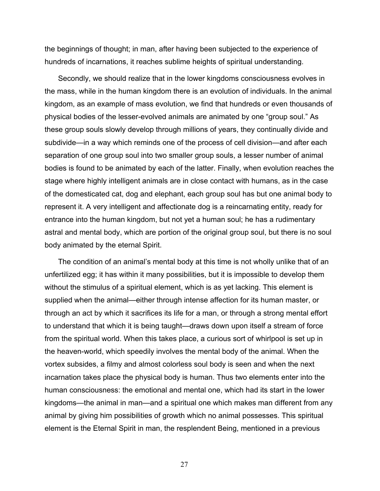the beginnings of thought; in man, after having been subjected to the experience of hundreds of incarnations, it reaches sublime heights of spiritual understanding.

Secondly, we should realize that in the lower kingdoms consciousness evolves in the mass, while in the human kingdom there is an evolution of individuals. In the animal kingdom, as an example of mass evolution, we find that hundreds or even thousands of physical bodies of the lesser-evolved animals are animated by one "group soul." As these group souls slowly develop through millions of years, they continually divide and subdivide—in a way which reminds one of the process of cell division—and after each separation of one group soul into two smaller group souls, a lesser number of animal bodies is found to be animated by each of the latter. Finally, when evolution reaches the stage where highly intelligent animals are in close contact with humans, as in the case of the domesticated cat, dog and elephant, each group soul has but one animal body to represent it. A very intelligent and affectionate dog is a reincarnating entity, ready for entrance into the human kingdom, but not yet a human soul; he has a rudimentary astral and mental body, which are portion of the original group soul, but there is no soul body animated by the eternal Spirit.

The condition of an animal's mental body at this time is not wholly unlike that of an unfertilized egg; it has within it many possibilities, but it is impossible to develop them without the stimulus of a spiritual element, which is as yet lacking. This element is supplied when the animal—either through intense affection for its human master, or through an act by which it sacrifices its life for a man, or through a strong mental effort to understand that which it is being taught—draws down upon itself a stream of force from the spiritual world. When this takes place, a curious sort of whirlpool is set up in the heaven-world, which speedily involves the mental body of the animal. When the vortex subsides, a filmy and almost colorless soul body is seen and when the next incarnation takes place the physical body is human. Thus two elements enter into the human consciousness: the emotional and mental one, which had its start in the lower kingdoms—the animal in man—and a spiritual one which makes man different from any animal by giving him possibilities of growth which no animal possesses. This spiritual element is the Eternal Spirit in man, the resplendent Being, mentioned in a previous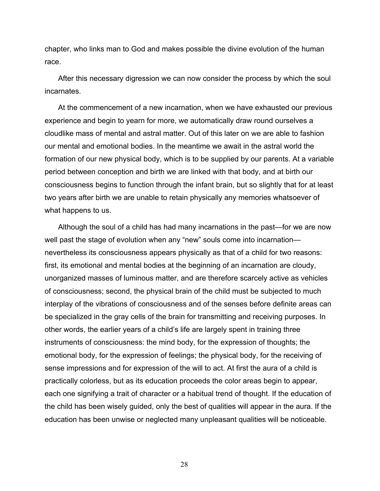chapter, who links man to God and makes possible the divine evolution of the human race.

After this necessary digression we can now consider the process by which the soul incarnates.

At the commencement of a new incarnation, when we have exhausted our previous experience and begin to yearn for more, we automatically draw round ourselves a cloudlike mass of mental and astral matter. Out of this later on we are able to fashion our mental and emotional bodies. In the meantime we await in the astral world the formation of our new physical body, which is to be supplied by our parents. At a variable period between conception and birth we are linked with that body, and at birth our consciousness begins to function through the infant brain, but so slightly that for at least two years after birth we are unable to retain physically any memories whatsoever of what happens to us.

Although the soul of a child has had many incarnations in the past—for we are now well past the stage of evolution when any "new" souls come into incarnation nevertheless its consciousness appears physically as that of a child for two reasons: first, its emotional and mental bodies at the beginning of an incarnation are cloudy, unorganized masses of luminous matter, and are therefore scarcely active as vehicles of consciousness; second, the physical brain of the child must be subjected to much interplay of the vibrations of consciousness and of the senses before definite areas can be specialized in the gray cells of the brain for transmitting and receiving purposes. In other words, the earlier years of a child's life are largely spent in training three instruments of consciousness: the mind body, for the expression of thoughts; the emotional body, for the expression of feelings; the physical body, for the receiving of sense impressions and for expression of the will to act. At first the aura of a child is practically colorless, but as its education proceeds the color areas begin to appear, each one signifying a trait of character or a habitual trend of thought. If the education of the child has been wisely guided, only the best of qualities will appear in the aura. If the education has been unwise or neglected many unpleasant qualities will be noticeable.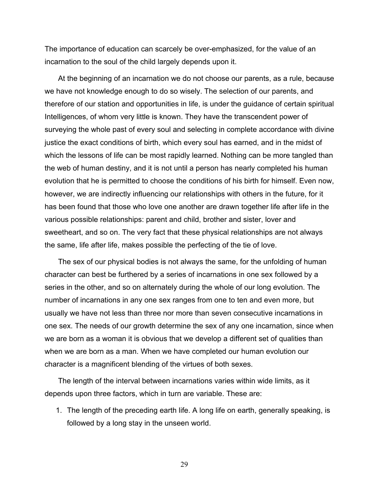The importance of education can scarcely be over-emphasized, for the value of an incarnation to the soul of the child largely depends upon it.

At the beginning of an incarnation we do not choose our parents, as a rule, because we have not knowledge enough to do so wisely. The selection of our parents, and therefore of our station and opportunities in life, is under the guidance of certain spiritual Intelligences, of whom very little is known. They have the transcendent power of surveying the whole past of every soul and selecting in complete accordance with divine justice the exact conditions of birth, which every soul has earned, and in the midst of which the lessons of life can be most rapidly learned. Nothing can be more tangled than the web of human destiny, and it is not until a person has nearly completed his human evolution that he is permitted to choose the conditions of his birth for himself. Even now, however, we are indirectly influencing our relationships with others in the future, for it has been found that those who love one another are drawn together life after life in the various possible relationships: parent and child, brother and sister, lover and sweetheart, and so on. The very fact that these physical relationships are not always the same, life after life, makes possible the perfecting of the tie of love.

The sex of our physical bodies is not always the same, for the unfolding of human character can best be furthered by a series of incarnations in one sex followed by a series in the other, and so on alternately during the whole of our long evolution. The number of incarnations in any one sex ranges from one to ten and even more, but usually we have not less than three nor more than seven consecutive incarnations in one sex. The needs of our growth determine the sex of any one incarnation, since when we are born as a woman it is obvious that we develop a different set of qualities than when we are born as a man. When we have completed our human evolution our character is a magnificent blending of the virtues of both sexes.

The length of the interval between incarnations varies within wide limits, as it depends upon three factors, which in turn are variable. These are:

1. The length of the preceding earth life. A long life on earth, generally speaking, is followed by a long stay in the unseen world.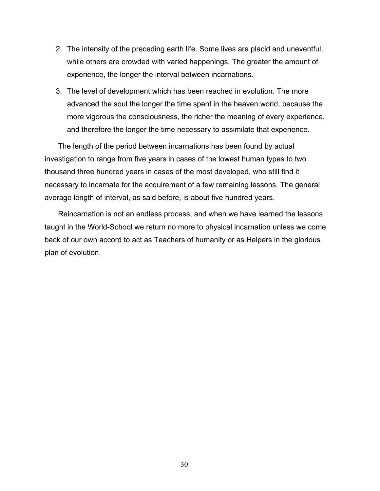- 2. The intensity of the preceding earth life. Some lives are placid and uneventful, while others are crowded with varied happenings. The greater the amount of experience, the longer the interval between incarnations.
- 3. The level of development which has been reached in evolution. The more advanced the soul the longer the time spent in the heaven world, because the more vigorous the consciousness, the richer the meaning of every experience, and therefore the longer the time necessary to assimilate that experience.

The length of the period between incarnations has been found by actual investigation to range from five years in cases of the lowest human types to two thousand three hundred years in cases of the most developed, who still find it necessary to incarnate for the acquirement of a few remaining lessons. The general average length of interval, as said before, is about five hundred years.

Reincarnation is not an endless process, and when we have learned the lessons taught in the World-School we return no more to physical incarnation unless we come back of our own accord to act as Teachers of humanity or as Helpers in the glorious plan of evolution.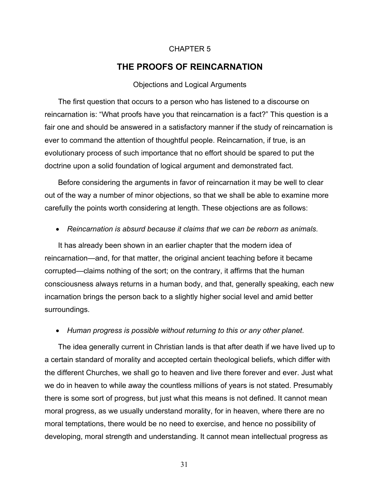#### CHAPTER 5

# **THE PROOFS OF REINCARNATION**

#### Objections and Logical Arguments

The first question that occurs to a person who has listened to a discourse on reincarnation is: "What proofs have you that reincarnation is a fact?" This question is a fair one and should be answered in a satisfactory manner if the study of reincarnation is ever to command the attention of thoughtful people. Reincarnation, if true, is an evolutionary process of such importance that no effort should be spared to put the doctrine upon a solid foundation of logical argument and demonstrated fact.

Before considering the arguments in favor of reincarnation it may be well to clear out of the way a number of minor objections, so that we shall be able to examine more carefully the points worth considering at length. These objections are as follows:

# • *Reincarnation is absurd because it claims that we can be reborn as animals*.

It has already been shown in an earlier chapter that the modern idea of reincarnation—and, for that matter, the original ancient teaching before it became corrupted—claims nothing of the sort; on the contrary, it affirms that the human consciousness always returns in a human body, and that, generally speaking, each new incarnation brings the person back to a slightly higher social level and amid better surroundings.

#### • *Human progress is possible without returning to this or any other planet*.

The idea generally current in Christian lands is that after death if we have lived up to a certain standard of morality and accepted certain theological beliefs, which differ with the different Churches, we shall go to heaven and live there forever and ever. Just what we do in heaven to while away the countless millions of years is not stated. Presumably there is some sort of progress, but just what this means is not defined. It cannot mean moral progress, as we usually understand morality, for in heaven, where there are no moral temptations, there would be no need to exercise, and hence no possibility of developing, moral strength and understanding. It cannot mean intellectual progress as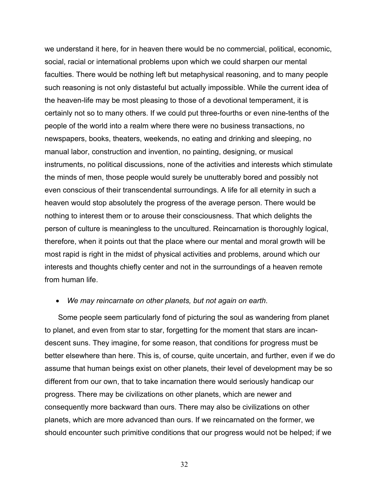we understand it here, for in heaven there would be no commercial, political, economic, social, racial or international problems upon which we could sharpen our mental faculties. There would be nothing left but metaphysical reasoning, and to many people such reasoning is not only distasteful but actually impossible. While the current idea of the heaven-life may be most pleasing to those of a devotional temperament, it is certainly not so to many others. If we could put three-fourths or even nine-tenths of the people of the world into a realm where there were no business transactions, no newspapers, books, theaters, weekends, no eating and drinking and sleeping, no manual labor, construction and invention, no painting, designing, or musical instruments, no political discussions, none of the activities and interests which stimulate the minds of men, those people would surely be unutterably bored and possibly not even conscious of their transcendental surroundings. A life for all eternity in such a heaven would stop absolutely the progress of the average person. There would be nothing to interest them or to arouse their consciousness. That which delights the person of culture is meaningless to the uncultured. Reincarnation is thoroughly logical, therefore, when it points out that the place where our mental and moral growth will be most rapid is right in the midst of physical activities and problems, around which our interests and thoughts chiefly center and not in the surroundings of a heaven remote from human life.

### • *We may reincarnate on other planets, but not again on earth*.

Some people seem particularly fond of picturing the soul as wandering from planet to planet, and even from star to star, forgetting for the moment that stars are incandescent suns. They imagine, for some reason, that conditions for progress must be better elsewhere than here. This is, of course, quite uncertain, and further, even if we do assume that human beings exist on other planets, their level of development may be so different from our own, that to take incarnation there would seriously handicap our progress. There may be civilizations on other planets, which are newer and consequently more backward than ours. There may also be civilizations on other planets, which are more advanced than ours. If we reincarnated on the former, we should encounter such primitive conditions that our progress would not be helped; if we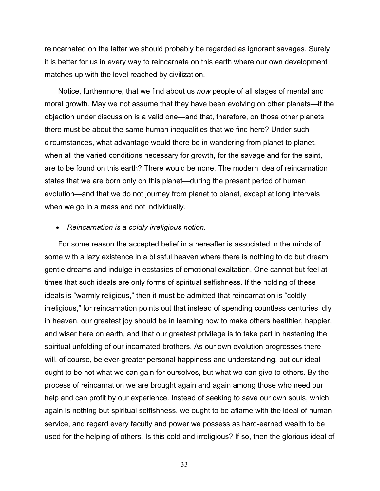reincarnated on the latter we should probably be regarded as ignorant savages. Surely it is better for us in every way to reincarnate on this earth where our own development matches up with the level reached by civilization.

Notice, furthermore, that we find about us *now* people of all stages of mental and moral growth. May we not assume that they have been evolving on other planets—if the objection under discussion is a valid one—and that, therefore, on those other planets there must be about the same human inequalities that we find here? Under such circumstances, what advantage would there be in wandering from planet to planet, when all the varied conditions necessary for growth, for the savage and for the saint, are to be found on this earth? There would be none. The modern idea of reincarnation states that we are born only on this planet—during the present period of human evolution—and that we do not journey from planet to planet, except at long intervals when we go in a mass and not individually.

### • *Reincarnation is a coldly irreligious notion*.

For some reason the accepted belief in a hereafter is associated in the minds of some with a lazy existence in a blissful heaven where there is nothing to do but dream gentle dreams and indulge in ecstasies of emotional exaltation. One cannot but feel at times that such ideals are only forms of spiritual selfishness. If the holding of these ideals is "warmly religious," then it must be admitted that reincarnation is "coldly irreligious," for reincarnation points out that instead of spending countless centuries idly in heaven, our greatest joy should be in learning how to make others healthier, happier, and wiser here on earth, and that our greatest privilege is to take part in hastening the spiritual unfolding of our incarnated brothers. As our own evolution progresses there will, of course, be ever-greater personal happiness and understanding, but our ideal ought to be not what we can gain for ourselves, but what we can give to others. By the process of reincarnation we are brought again and again among those who need our help and can profit by our experience. Instead of seeking to save our own souls, which again is nothing but spiritual selfishness, we ought to be aflame with the ideal of human service, and regard every faculty and power we possess as hard-earned wealth to be used for the helping of others. Is this cold and irreligious? If so, then the glorious ideal of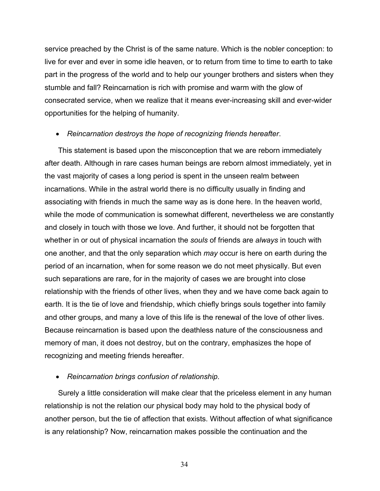service preached by the Christ is of the same nature. Which is the nobler conception: to live for ever and ever in some idle heaven, or to return from time to time to earth to take part in the progress of the world and to help our younger brothers and sisters when they stumble and fall? Reincarnation is rich with promise and warm with the glow of consecrated service, when we realize that it means ever-increasing skill and ever-wider opportunities for the helping of humanity.

### • *Reincarnation destroys the hope of recognizing friends hereafter*.

This statement is based upon the misconception that we are reborn immediately after death. Although in rare cases human beings are reborn almost immediately, yet in the vast majority of cases a long period is spent in the unseen realm between incarnations. While in the astral world there is no difficulty usually in finding and associating with friends in much the same way as is done here. In the heaven world, while the mode of communication is somewhat different, nevertheless we are constantly and closely in touch with those we love. And further, it should not be forgotten that whether in or out of physical incarnation the *souls* of friends are *always* in touch with one another, and that the only separation which *may* occur is here on earth during the period of an incarnation, when for some reason we do not meet physically. But even such separations are rare, for in the majority of cases we are brought into close relationship with the friends of other lives, when they and we have come back again to earth. It is the tie of love and friendship, which chiefly brings souls together into family and other groups, and many a love of this life is the renewal of the love of other lives. Because reincarnation is based upon the deathless nature of the consciousness and memory of man, it does not destroy, but on the contrary, emphasizes the hope of recognizing and meeting friends hereafter.

## • *Reincarnation brings confusion of relationship*.

Surely a little consideration will make clear that the priceless element in any human relationship is not the relation our physical body may hold to the physical body of another person, but the tie of affection that exists. Without affection of what significance is any relationship? Now, reincarnation makes possible the continuation and the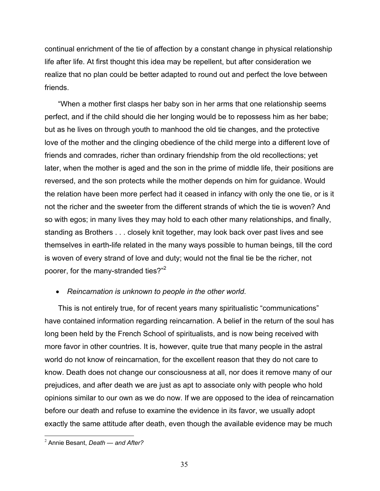continual enrichment of the tie of affection by a constant change in physical relationship life after life. At first thought this idea may be repellent, but after consideration we realize that no plan could be better adapted to round out and perfect the love between friends.

"When a mother first clasps her baby son in her arms that one relationship seems perfect, and if the child should die her longing would be to repossess him as her babe; but as he lives on through youth to manhood the old tie changes, and the protective love of the mother and the clinging obedience of the child merge into a different love of friends and comrades, richer than ordinary friendship from the old recollections; yet later, when the mother is aged and the son in the prime of middle life, their positions are reversed, and the son protects while the mother depends on him for guidance. Would the relation have been more perfect had it ceased in infancy with only the one tie, or is it not the richer and the sweeter from the different strands of which the tie is woven? And so with egos; in many lives they may hold to each other many relationships, and finally, standing as Brothers . . . closely knit together, may look back over past lives and see themselves in earth-life related in the many ways possible to human beings, till the cord is woven of every strand of love and duty; would not the final tie be the richer, not poorer, for the many-stranded ties?"<sup>2</sup>

# • *Reincarnation is unknown to people in the other world*.

This is not entirely true, for of recent years many spiritualistic "communications" have contained information regarding reincarnation. A belief in the return of the soul has long been held by the French School of spiritualists, and is now being received with more favor in other countries. It is, however, quite true that many people in the astral world do not know of reincarnation, for the excellent reason that they do not care to know. Death does not change our consciousness at all, nor does it remove many of our prejudices, and after death we are just as apt to associate only with people who hold opinions similar to our own as we do now. If we are opposed to the idea of reincarnation before our death and refuse to examine the evidence in its favor, we usually adopt exactly the same attitude after death, even though the available evidence may be much

 $\overline{a}$ 

<sup>2</sup> Annie Besant, *Death* — *and After?*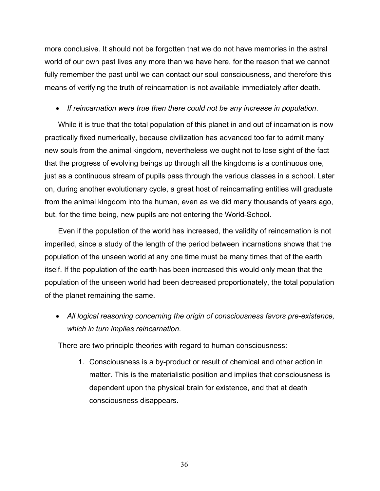more conclusive. It should not be forgotten that we do not have memories in the astral world of our own past lives any more than we have here, for the reason that we cannot fully remember the past until we can contact our soul consciousness, and therefore this means of verifying the truth of reincarnation is not available immediately after death.

• *If reincarnation were true then there could not be any increase in population*.

While it is true that the total population of this planet in and out of incarnation is now practically fixed numerically, because civilization has advanced too far to admit many new souls from the animal kingdom, nevertheless we ought not to lose sight of the fact that the progress of evolving beings up through all the kingdoms is a continuous one, just as a continuous stream of pupils pass through the various classes in a school. Later on, during another evolutionary cycle, a great host of reincarnating entities will graduate from the animal kingdom into the human, even as we did many thousands of years ago, but, for the time being, new pupils are not entering the World-School.

Even if the population of the world has increased, the validity of reincarnation is not imperiled, since a study of the length of the period between incarnations shows that the population of the unseen world at any one time must be many times that of the earth itself. If the population of the earth has been increased this would only mean that the population of the unseen world had been decreased proportionately, the total population of the planet remaining the same.

• *All logical reasoning concerning the origin of consciousness favors pre-existence, which in turn implies reincarnation*.

There are two principle theories with regard to human consciousness:

1. Consciousness is a by-product or result of chemical and other action in matter. This is the materialistic position and implies that consciousness is dependent upon the physical brain for existence, and that at death consciousness disappears.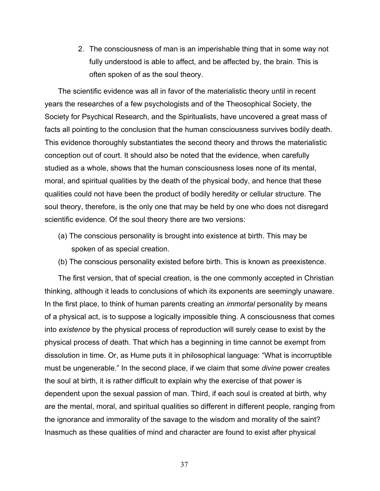2. The consciousness of man is an imperishable thing that in some way not fully understood is able to affect, and be affected by, the brain. This is often spoken of as the soul theory.

The scientific evidence was all in favor of the materialistic theory until in recent years the researches of a few psychologists and of the Theosophical Society, the Society for Psychical Research, and the Spiritualists, have uncovered a great mass of facts all pointing to the conclusion that the human consciousness survives bodily death. This evidence thoroughly substantiates the second theory and throws the materialistic conception out of court. It should also be noted that the evidence, when carefully studied as a whole, shows that the human consciousness loses none of its mental, moral, and spiritual qualities by the death of the physical body, and hence that these qualities could not have been the product of bodily heredity or cellular structure. The soul theory, therefore, is the only one that may be held by one who does not disregard scientific evidence. Of the soul theory there are two versions:

- (a) The conscious personality is brought into existence at birth. This may be spoken of as special creation.
- (b) The conscious personality existed before birth. This is known as preexistence.

The first version, that of special creation, is the one commonly accepted in Christian thinking, although it leads to conclusions of which its exponents are seemingly unaware. In the first place, to think of human parents creating an *immortal* personality by means of a physical act, is to suppose a logically impossible thing. A consciousness that comes into *existence* by the physical process of reproduction will surely cease to exist by the physical process of death. That which has a beginning in time cannot be exempt from dissolution in time. Or, as Hume puts it in philosophical language: "What is incorruptible must be ungenerable." In the second place, if we claim that some *divine* power creates the soul at birth, it is rather difficult to explain why the exercise of that power is dependent upon the sexual passion of man. Third, if each soul is created at birth, why are the mental, moral, and spiritual qualities so different in different people, ranging from the ignorance and immorality of the savage to the wisdom and morality of the saint? Inasmuch as these qualities of mind and character are found to exist after physical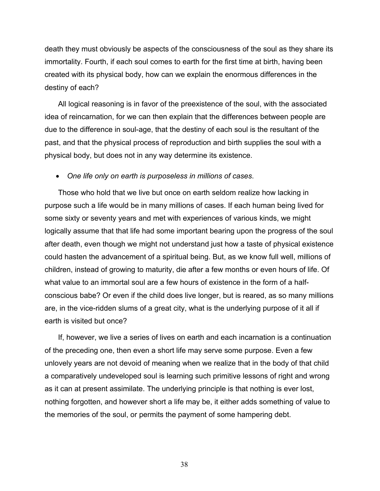death they must obviously be aspects of the consciousness of the soul as they share its immortality. Fourth, if each soul comes to earth for the first time at birth, having been created with its physical body, how can we explain the enormous differences in the destiny of each?

All logical reasoning is in favor of the preexistence of the soul, with the associated idea of reincarnation, for we can then explain that the differences between people are due to the difference in soul-age, that the destiny of each soul is the resultant of the past, and that the physical process of reproduction and birth supplies the soul with a physical body, but does not in any way determine its existence.

## • *One life only on earth is purposeless in millions of cases*.

Those who hold that we live but once on earth seldom realize how lacking in purpose such a life would be in many millions of cases. If each human being lived for some sixty or seventy years and met with experiences of various kinds, we might logically assume that that life had some important bearing upon the progress of the soul after death, even though we might not understand just how a taste of physical existence could hasten the advancement of a spiritual being. But, as we know full well, millions of children, instead of growing to maturity, die after a few months or even hours of life. Of what value to an immortal soul are a few hours of existence in the form of a halfconscious babe? Or even if the child does live longer, but is reared, as so many millions are, in the vice-ridden slums of a great city, what is the underlying purpose of it all if earth is visited but once?

If, however, we live a series of lives on earth and each incarnation is a continuation of the preceding one, then even a short life may serve some purpose. Even a few unlovely years are not devoid of meaning when we realize that in the body of that child a comparatively undeveloped soul is learning such primitive lessons of right and wrong as it can at present assimilate. The underlying principle is that nothing is ever lost, nothing forgotten, and however short a life may be, it either adds something of value to the memories of the soul, or permits the payment of some hampering debt.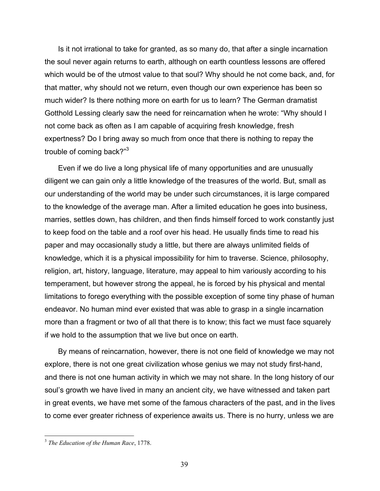Is it not irrational to take for granted, as so many do, that after a single incarnation the soul never again returns to earth, although on earth countless lessons are offered which would be of the utmost value to that soul? Why should he not come back, and, for that matter, why should not we return, even though our own experience has been so much wider? Is there nothing more on earth for us to learn? The German dramatist Gotthold Lessing clearly saw the need for reincarnation when he wrote: "Why should I not come back as often as I am capable of acquiring fresh knowledge, fresh expertness? Do I bring away so much from once that there is nothing to repay the trouble of coming back?"<sup>3</sup>

Even if we do live a long physical life of many opportunities and are unusually diligent we can gain only a little knowledge of the treasures of the world. But, small as our understanding of the world may be under such circumstances, it is large compared to the knowledge of the average man. After a limited education he goes into business, marries, settles down, has children, and then finds himself forced to work constantly just to keep food on the table and a roof over his head. He usually finds time to read his paper and may occasionally study a little, but there are always unlimited fields of knowledge, which it is a physical impossibility for him to traverse. Science, philosophy, religion, art, history, language, literature, may appeal to him variously according to his temperament, but however strong the appeal, he is forced by his physical and mental limitations to forego everything with the possible exception of some tiny phase of human endeavor. No human mind ever existed that was able to grasp in a single incarnation more than a fragment or two of all that there is to know; this fact we must face squarely if we hold to the assumption that we live but once on earth.

By means of reincarnation, however, there is not one field of knowledge we may not explore, there is not one great civilization whose genius we may not study first-hand, and there is not one human activity in which we may not share. In the long history of our soul's growth we have lived in many an ancient city, we have witnessed and taken part in great events, we have met some of the famous characters of the past, and in the lives to come ever greater richness of experience awaits us. There is no hurry, unless we are

<u>.</u>

<sup>3</sup> *The Education of the Human Race*, 1778.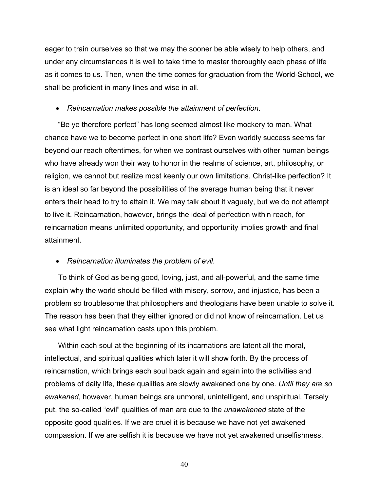eager to train ourselves so that we may the sooner be able wisely to help others, and under any circumstances it is well to take time to master thoroughly each phase of life as it comes to us. Then, when the time comes for graduation from the World-School, we shall be proficient in many lines and wise in all.

### • *Reincarnation makes possible the attainment of perfection*.

"Be ye therefore perfect" has long seemed almost like mockery to man. What chance have we to become perfect in one short life? Even worldly success seems far beyond our reach oftentimes, for when we contrast ourselves with other human beings who have already won their way to honor in the realms of science, art, philosophy, or religion, we cannot but realize most keenly our own limitations. Christ-like perfection? It is an ideal so far beyond the possibilities of the average human being that it never enters their head to try to attain it. We may talk about it vaguely, but we do not attempt to live it. Reincarnation, however, brings the ideal of perfection within reach, for reincarnation means unlimited opportunity, and opportunity implies growth and final attainment.

### • *Reincarnation illuminates the problem of evil*.

To think of God as being good, loving, just, and all-powerful, and the same time explain why the world should be filled with misery, sorrow, and injustice, has been a problem so troublesome that philosophers and theologians have been unable to solve it. The reason has been that they either ignored or did not know of reincarnation. Let us see what light reincarnation casts upon this problem.

Within each soul at the beginning of its incarnations are latent all the moral, intellectual, and spiritual qualities which later it will show forth. By the process of reincarnation, which brings each soul back again and again into the activities and problems of daily life, these qualities are slowly awakened one by one. *Until they are so awakened*, however, human beings are unmoral, unintelligent, and unspiritual. Tersely put, the so-called "evil" qualities of man are due to the *unawakened* state of the opposite good qualities. If we are cruel it is because we have not yet awakened compassion. If we are selfish it is because we have not yet awakened unselfishness.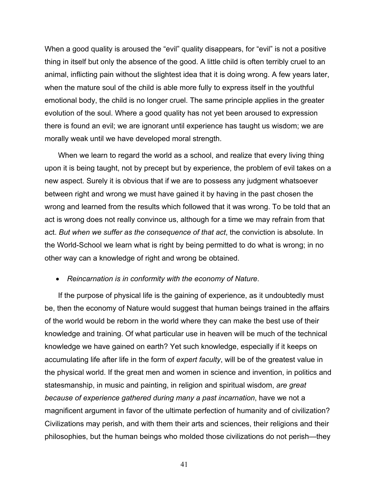When a good quality is aroused the "evil" quality disappears, for "evil" is not a positive thing in itself but only the absence of the good. A little child is often terribly cruel to an animal, inflicting pain without the slightest idea that it is doing wrong. A few years later, when the mature soul of the child is able more fully to express itself in the youthful emotional body, the child is no longer cruel. The same principle applies in the greater evolution of the soul. Where a good quality has not yet been aroused to expression there is found an evil; we are ignorant until experience has taught us wisdom; we are morally weak until we have developed moral strength.

When we learn to regard the world as a school, and realize that every living thing upon it is being taught, not by precept but by experience, the problem of evil takes on a new aspect. Surely it is obvious that if we are to possess any judgment whatsoever between right and wrong we must have gained it by having in the past chosen the wrong and learned from the results which followed that it was wrong. To be told that an act is wrong does not really convince us, although for a time we may refrain from that act. *But when we suffer as the consequence of that act*, the conviction is absolute. In the World-School we learn what is right by being permitted to do what is wrong; in no other way can a knowledge of right and wrong be obtained.

### • *Reincarnation is in conformity with the economy of Nature*.

If the purpose of physical life is the gaining of experience, as it undoubtedly must be, then the economy of Nature would suggest that human beings trained in the affairs of the world would be reborn in the world where they can make the best use of their knowledge and training. Of what particular use in heaven will be much of the technical knowledge we have gained on earth? Yet such knowledge, especially if it keeps on accumulating life after life in the form of *expert faculty*, will be of the greatest value in the physical world. If the great men and women in science and invention, in politics and statesmanship, in music and painting, in religion and spiritual wisdom, *are great because of experience gathered during many a past incarnation*, have we not a magnificent argument in favor of the ultimate perfection of humanity and of civilization? Civilizations may perish, and with them their arts and sciences, their religions and their philosophies, but the human beings who molded those civilizations do not perish—they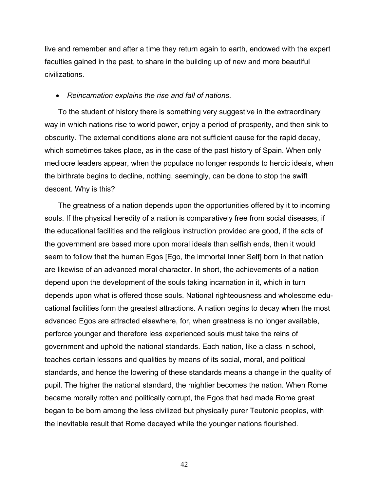live and remember and after a time they return again to earth, endowed with the expert faculties gained in the past, to share in the building up of new and more beautiful civilizations.

## • *Reincarnation explains the rise and fall of nations*.

To the student of history there is something very suggestive in the extraordinary way in which nations rise to world power, enjoy a period of prosperity, and then sink to obscurity. The external conditions alone are not sufficient cause for the rapid decay, which sometimes takes place, as in the case of the past history of Spain. When only mediocre leaders appear, when the populace no longer responds to heroic ideals, when the birthrate begins to decline, nothing, seemingly, can be done to stop the swift descent. Why is this?

The greatness of a nation depends upon the opportunities offered by it to incoming souls. If the physical heredity of a nation is comparatively free from social diseases, if the educational facilities and the religious instruction provided are good, if the acts of the government are based more upon moral ideals than selfish ends, then it would seem to follow that the human Egos [Ego, the immortal Inner Self] born in that nation are likewise of an advanced moral character. In short, the achievements of a nation depend upon the development of the souls taking incarnation in it, which in turn depends upon what is offered those souls. National righteousness and wholesome educational facilities form the greatest attractions. A nation begins to decay when the most advanced Egos are attracted elsewhere, for, when greatness is no longer available, perforce younger and therefore less experienced souls must take the reins of government and uphold the national standards. Each nation, like a class in school, teaches certain lessons and qualities by means of its social, moral, and political standards, and hence the lowering of these standards means a change in the quality of pupil. The higher the national standard, the mightier becomes the nation. When Rome became morally rotten and politically corrupt, the Egos that had made Rome great began to be born among the less civilized but physically purer Teutonic peoples, with the inevitable result that Rome decayed while the younger nations flourished.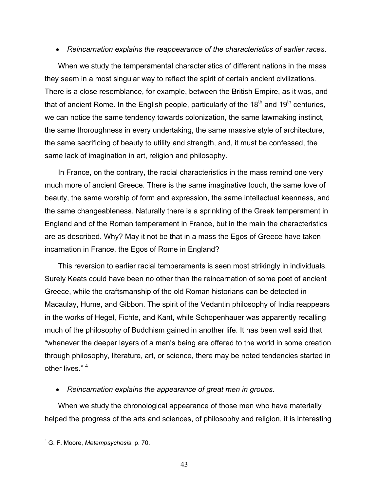# • *Reincarnation explains the reappearance of the characteristics of earlier races*.

When we study the temperamental characteristics of different nations in the mass they seem in a most singular way to reflect the spirit of certain ancient civilizations. There is a close resemblance, for example, between the British Empire, as it was, and that of ancient Rome. In the English people, particularly of the  $18<sup>th</sup>$  and  $19<sup>th</sup>$  centuries, we can notice the same tendency towards colonization, the same lawmaking instinct, the same thoroughness in every undertaking, the same massive style of architecture, the same sacrificing of beauty to utility and strength, and, it must be confessed, the same lack of imagination in art, religion and philosophy.

In France, on the contrary, the racial characteristics in the mass remind one very much more of ancient Greece. There is the same imaginative touch, the same love of beauty, the same worship of form and expression, the same intellectual keenness, and the same changeableness. Naturally there is a sprinkling of the Greek temperament in England and of the Roman temperament in France, but in the main the characteristics are as described. Why? May it not be that in a mass the Egos of Greece have taken incarnation in France, the Egos of Rome in England?

This reversion to earlier racial temperaments is seen most strikingly in individuals. Surely Keats could have been no other than the reincarnation of some poet of ancient Greece, while the craftsmanship of the old Roman historians can be detected in Macaulay, Hume, and Gibbon. The spirit of the Vedantin philosophy of India reappears in the works of Hegel, Fichte, and Kant, while Schopenhauer was apparently recalling much of the philosophy of Buddhism gained in another life. It has been well said that "whenever the deeper layers of a man's being are offered to the world in some creation through philosophy, literature, art, or science, there may be noted tendencies started in other lives." <sup>4</sup>

## • *Reincarnation explains the appearance of great men in groups*.

When we study the chronological appearance of those men who have materially helped the progress of the arts and sciences, of philosophy and religion, it is interesting

 $\overline{a}$ 

<sup>4</sup> G. F. Moore, *Metempsychosis*, p. 70.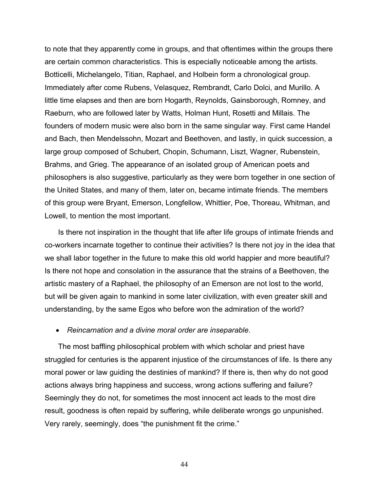to note that they apparently come in groups, and that oftentimes within the groups there are certain common characteristics. This is especially noticeable among the artists. Botticelli, Michelangelo, Titian, Raphael, and Holbein form a chronological group. Immediately after come Rubens, Velasquez, Rembrandt, Carlo Dolci, and Murillo. A little time elapses and then are born Hogarth, Reynolds, Gainsborough, Romney, and Raeburn, who are followed later by Watts, Holman Hunt, Rosetti and Millais. The founders of modern music were also born in the same singular way. First came Handel and Bach, then Mendelssohn, Mozart and Beethoven, and lastly, in quick succession, a large group composed of Schubert, Chopin, Schumann, Liszt, Wagner, Rubenstein, Brahms, and Grieg. The appearance of an isolated group of American poets and philosophers is also suggestive, particularly as they were born together in one section of the United States, and many of them, later on, became intimate friends. The members of this group were Bryant, Emerson, Longfellow, Whittier, Poe, Thoreau, Whitman, and Lowell, to mention the most important.

Is there not inspiration in the thought that life after life groups of intimate friends and co-workers incarnate together to continue their activities? Is there not joy in the idea that we shall labor together in the future to make this old world happier and more beautiful? Is there not hope and consolation in the assurance that the strains of a Beethoven, the artistic mastery of a Raphael, the philosophy of an Emerson are not lost to the world, but will be given again to mankind in some later civilization, with even greater skill and understanding, by the same Egos who before won the admiration of the world?

### • *Reincarnation and a divine moral order are inseparable*.

The most baffling philosophical problem with which scholar and priest have struggled for centuries is the apparent injustice of the circumstances of life. Is there any moral power or law guiding the destinies of mankind? If there is, then why do not good actions always bring happiness and success, wrong actions suffering and failure? Seemingly they do not, for sometimes the most innocent act leads to the most dire result, goodness is often repaid by suffering, while deliberate wrongs go unpunished. Very rarely, seemingly, does "the punishment fit the crime."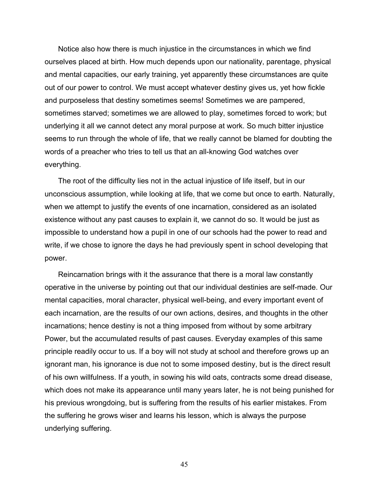Notice also how there is much injustice in the circumstances in which we find ourselves placed at birth. How much depends upon our nationality, parentage, physical and mental capacities, our early training, yet apparently these circumstances are quite out of our power to control. We must accept whatever destiny gives us, yet how fickle and purposeless that destiny sometimes seems! Sometimes we are pampered, sometimes starved; sometimes we are allowed to play, sometimes forced to work; but underlying it all we cannot detect any moral purpose at work. So much bitter injustice seems to run through the whole of life, that we really cannot be blamed for doubting the words of a preacher who tries to tell us that an all-knowing God watches over everything.

The root of the difficulty lies not in the actual injustice of life itself, but in our unconscious assumption, while looking at life, that we come but once to earth. Naturally, when we attempt to justify the events of one incarnation, considered as an isolated existence without any past causes to explain it, we cannot do so. It would be just as impossible to understand how a pupil in one of our schools had the power to read and write, if we chose to ignore the days he had previously spent in school developing that power.

Reincarnation brings with it the assurance that there is a moral law constantly operative in the universe by pointing out that our individual destinies are self-made. Our mental capacities, moral character, physical well-being, and every important event of each incarnation, are the results of our own actions, desires, and thoughts in the other incarnations; hence destiny is not a thing imposed from without by some arbitrary Power, but the accumulated results of past causes. Everyday examples of this same principle readily occur to us. If a boy will not study at school and therefore grows up an ignorant man, his ignorance is due not to some imposed destiny, but is the direct result of his own willfulness. If a youth, in sowing his wild oats, contracts some dread disease, which does not make its appearance until many years later, he is not being punished for his previous wrongdoing, but is suffering from the results of his earlier mistakes. From the suffering he grows wiser and learns his lesson, which is always the purpose underlying suffering.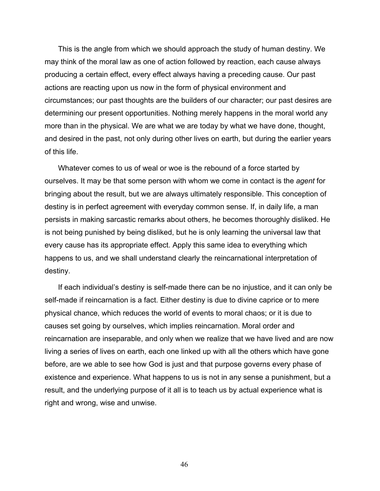This is the angle from which we should approach the study of human destiny. We may think of the moral law as one of action followed by reaction, each cause always producing a certain effect, every effect always having a preceding cause. Our past actions are reacting upon us now in the form of physical environment and circumstances; our past thoughts are the builders of our character; our past desires are determining our present opportunities. Nothing merely happens in the moral world any more than in the physical. We are what we are today by what we have done, thought, and desired in the past, not only during other lives on earth, but during the earlier years of this life.

Whatever comes to us of weal or woe is the rebound of a force started by ourselves. It may be that some person with whom we come in contact is the *agent* for bringing about the result, but we are always ultimately responsible. This conception of destiny is in perfect agreement with everyday common sense. If, in daily life, a man persists in making sarcastic remarks about others, he becomes thoroughly disliked. He is not being punished by being disliked, but he is only learning the universal law that every cause has its appropriate effect. Apply this same idea to everything which happens to us, and we shall understand clearly the reincarnational interpretation of destiny.

If each individual's destiny is self-made there can be no injustice, and it can only be self-made if reincarnation is a fact. Either destiny is due to divine caprice or to mere physical chance, which reduces the world of events to moral chaos; or it is due to causes set going by ourselves, which implies reincarnation. Moral order and reincarnation are inseparable, and only when we realize that we have lived and are now living a series of lives on earth, each one linked up with all the others which have gone before, are we able to see how God is just and that purpose governs every phase of existence and experience. What happens to us is not in any sense a punishment, but a result, and the underlying purpose of it all is to teach us by actual experience what is right and wrong, wise and unwise.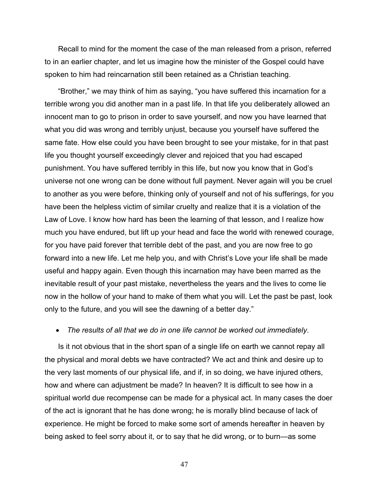Recall to mind for the moment the case of the man released from a prison, referred to in an earlier chapter, and let us imagine how the minister of the Gospel could have spoken to him had reincarnation still been retained as a Christian teaching.

"Brother," we may think of him as saying, "you have suffered this incarnation for a terrible wrong you did another man in a past life. In that life you deliberately allowed an innocent man to go to prison in order to save yourself, and now you have learned that what you did was wrong and terribly unjust, because you yourself have suffered the same fate. How else could you have been brought to see your mistake, for in that past life you thought yourself exceedingly clever and rejoiced that you had escaped punishment. You have suffered terribly in this life, but now you know that in God's universe not one wrong can be done without full payment. Never again will you be cruel to another as you were before, thinking only of yourself and not of his sufferings, for you have been the helpless victim of similar cruelty and realize that it is a violation of the Law of Love. I know how hard has been the learning of that lesson, and I realize how much you have endured, but lift up your head and face the world with renewed courage, for you have paid forever that terrible debt of the past, and you are now free to go forward into a new life. Let me help you, and with Christ's Love your life shall be made useful and happy again. Even though this incarnation may have been marred as the inevitable result of your past mistake, nevertheless the years and the lives to come lie now in the hollow of your hand to make of them what you will. Let the past be past, look only to the future, and you will see the dawning of a better day."

#### • *The results of all that we do in one life cannot be worked out immediately*.

Is it not obvious that in the short span of a single life on earth we cannot repay all the physical and moral debts we have contracted? We act and think and desire up to the very last moments of our physical life, and if, in so doing, we have injured others, how and where can adjustment be made? In heaven? It is difficult to see how in a spiritual world due recompense can be made for a physical act. In many cases the doer of the act is ignorant that he has done wrong; he is morally blind because of lack of experience. He might be forced to make some sort of amends hereafter in heaven by being asked to feel sorry about it, or to say that he did wrong, or to burn—as some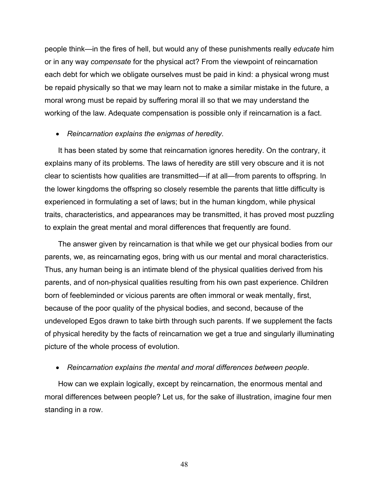people think—in the fires of hell, but would any of these punishments really *educate* him or in any way *compensate* for the physical act? From the viewpoint of reincarnation each debt for which we obligate ourselves must be paid in kind: a physical wrong must be repaid physically so that we may learn not to make a similar mistake in the future, a moral wrong must be repaid by suffering moral ill so that we may understand the working of the law. Adequate compensation is possible only if reincarnation is a fact.

### • *Reincarnation explains the enigmas of heredity*.

It has been stated by some that reincarnation ignores heredity. On the contrary, it explains many of its problems. The laws of heredity are still very obscure and it is not clear to scientists how qualities are transmitted—if at all—from parents to offspring. In the lower kingdoms the offspring so closely resemble the parents that little difficulty is experienced in formulating a set of laws; but in the human kingdom, while physical traits, characteristics, and appearances may be transmitted, it has proved most puzzling to explain the great mental and moral differences that frequently are found.

The answer given by reincarnation is that while we get our physical bodies from our parents, we, as reincarnating egos, bring with us our mental and moral characteristics. Thus, any human being is an intimate blend of the physical qualities derived from his parents, and of non-physical qualities resulting from his own past experience. Children born of feebleminded or vicious parents are often immoral or weak mentally, first, because of the poor quality of the physical bodies, and second, because of the undeveloped Egos drawn to take birth through such parents. If we supplement the facts of physical heredity by the facts of reincarnation we get a true and singularly illuminating picture of the whole process of evolution.

### • *Reincarnation explains the mental and moral differences between people*.

How can we explain logically, except by reincarnation, the enormous mental and moral differences between people? Let us, for the sake of illustration, imagine four men standing in a row.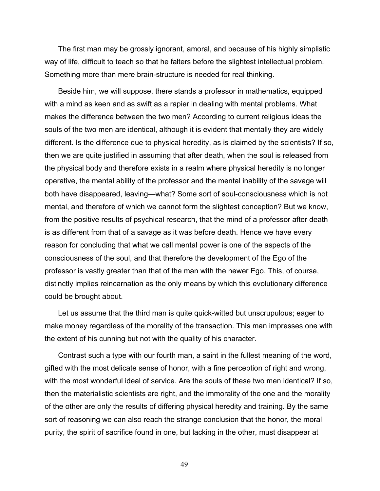The first man may be grossly ignorant, amoral, and because of his highly simplistic way of life, difficult to teach so that he falters before the slightest intellectual problem. Something more than mere brain-structure is needed for real thinking.

Beside him, we will suppose, there stands a professor in mathematics, equipped with a mind as keen and as swift as a rapier in dealing with mental problems. What makes the difference between the two men? According to current religious ideas the souls of the two men are identical, although it is evident that mentally they are widely different. Is the difference due to physical heredity, as is claimed by the scientists? If so, then we are quite justified in assuming that after death, when the soul is released from the physical body and therefore exists in a realm where physical heredity is no longer operative, the mental ability of the professor and the mental inability of the savage will both have disappeared, leaving—what? Some sort of soul-consciousness which is not mental, and therefore of which we cannot form the slightest conception? But we know, from the positive results of psychical research, that the mind of a professor after death is as different from that of a savage as it was before death. Hence we have every reason for concluding that what we call mental power is one of the aspects of the consciousness of the soul, and that therefore the development of the Ego of the professor is vastly greater than that of the man with the newer Ego. This, of course, distinctly implies reincarnation as the only means by which this evolutionary difference could be brought about.

Let us assume that the third man is quite quick-witted but unscrupulous; eager to make money regardless of the morality of the transaction. This man impresses one with the extent of his cunning but not with the quality of his character.

Contrast such a type with our fourth man, a saint in the fullest meaning of the word, gifted with the most delicate sense of honor, with a fine perception of right and wrong, with the most wonderful ideal of service. Are the souls of these two men identical? If so, then the materialistic scientists are right, and the immorality of the one and the morality of the other are only the results of differing physical heredity and training. By the same sort of reasoning we can also reach the strange conclusion that the honor, the moral purity, the spirit of sacrifice found in one, but lacking in the other, must disappear at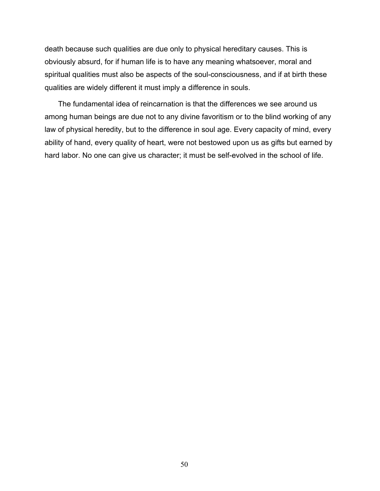death because such qualities are due only to physical hereditary causes. This is obviously absurd, for if human life is to have any meaning whatsoever, moral and spiritual qualities must also be aspects of the soul-consciousness, and if at birth these qualities are widely different it must imply a difference in souls.

The fundamental idea of reincarnation is that the differences we see around us among human beings are due not to any divine favoritism or to the blind working of any law of physical heredity, but to the difference in soul age. Every capacity of mind, every ability of hand, every quality of heart, were not bestowed upon us as gifts but earned by hard labor. No one can give us character; it must be self-evolved in the school of life.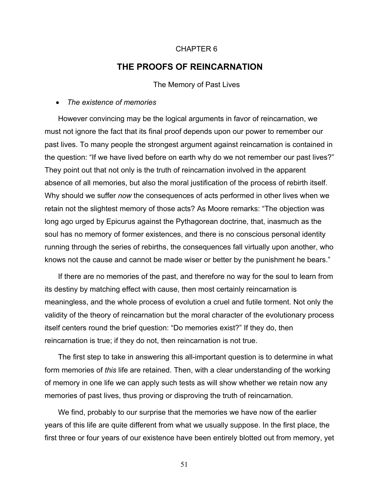### CHAPTER 6

# **THE PROOFS OF REINCARNATION**

The Memory of Past Lives

### • *The existence of memories*

However convincing may be the logical arguments in favor of reincarnation, we must not ignore the fact that its final proof depends upon our power to remember our past lives. To many people the strongest argument against reincarnation is contained in the question: "If we have lived before on earth why do we not remember our past lives?" They point out that not only is the truth of reincarnation involved in the apparent absence of all memories, but also the moral justification of the process of rebirth itself. Why should we suffer *now* the consequences of acts performed in other lives when we retain not the slightest memory of those acts? As Moore remarks: "The objection was long ago urged by Epicurus against the Pythagorean doctrine, that, inasmuch as the soul has no memory of former existences, and there is no conscious personal identity running through the series of rebirths, the consequences fall virtually upon another, who knows not the cause and cannot be made wiser or better by the punishment he bears."

If there are no memories of the past, and therefore no way for the soul to learn from its destiny by matching effect with cause, then most certainly reincarnation is meaningless, and the whole process of evolution a cruel and futile torment. Not only the validity of the theory of reincarnation but the moral character of the evolutionary process itself centers round the brief question: "Do memories exist?" If they do, then reincarnation is true; if they do not, then reincarnation is not true.

The first step to take in answering this all-important question is to determine in what form memories of *this* life are retained. Then, with a clear understanding of the working of memory in one life we can apply such tests as will show whether we retain now any memories of past lives, thus proving or disproving the truth of reincarnation.

We find, probably to our surprise that the memories we have now of the earlier years of this life are quite different from what we usually suppose. In the first place, the first three or four years of our existence have been entirely blotted out from memory, yet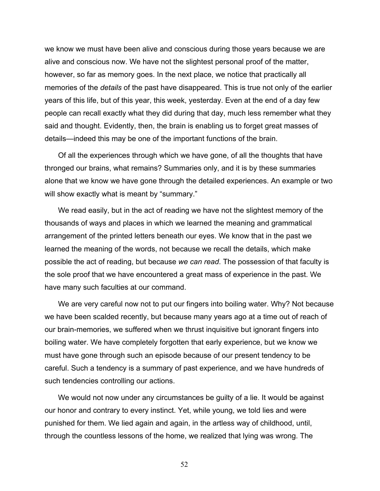we know we must have been alive and conscious during those years because we are alive and conscious now. We have not the slightest personal proof of the matter, however, so far as memory goes. In the next place, we notice that practically all memories of the *details* of the past have disappeared. This is true not only of the earlier years of this life, but of this year, this week, yesterday. Even at the end of a day few people can recall exactly what they did during that day, much less remember what they said and thought. Evidently, then, the brain is enabling us to forget great masses of details—indeed this may be one of the important functions of the brain.

Of all the experiences through which we have gone, of all the thoughts that have thronged our brains, what remains? Summaries only, and it is by these summaries alone that we know we have gone through the detailed experiences. An example or two will show exactly what is meant by "summary."

We read easily, but in the act of reading we have not the slightest memory of the thousands of ways and places in which we learned the meaning and grammatical arrangement of the printed letters beneath our eyes. We know that in the past we learned the meaning of the words, not because we recall the details, which make possible the act of reading, but because *we can read*. The possession of that faculty is the sole proof that we have encountered a great mass of experience in the past. We have many such faculties at our command.

We are very careful now not to put our fingers into boiling water. Why? Not because we have been scalded recently, but because many years ago at a time out of reach of our brain-memories, we suffered when we thrust inquisitive but ignorant fingers into boiling water. We have completely forgotten that early experience, but we know we must have gone through such an episode because of our present tendency to be careful. Such a tendency is a summary of past experience, and we have hundreds of such tendencies controlling our actions.

We would not now under any circumstances be guilty of a lie. It would be against our honor and contrary to every instinct. Yet, while young, we told lies and were punished for them. We lied again and again, in the artless way of childhood, until, through the countless lessons of the home, we realized that lying was wrong. The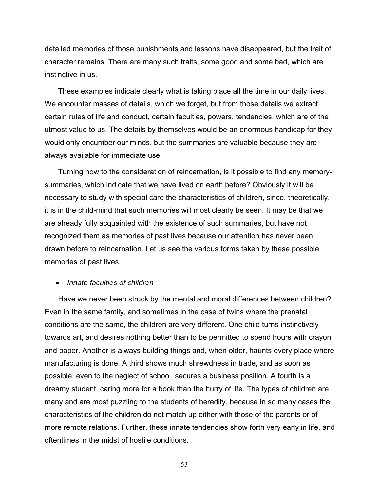detailed memories of those punishments and lessons have disappeared, but the trait of character remains. There are many such traits, some good and some bad, which are instinctive in us.

These examples indicate clearly what is taking place all the time in our daily lives. We encounter masses of details, which we forget, but from those details we extract certain rules of life and conduct, certain faculties, powers, tendencies, which are of the utmost value to us. The details by themselves would be an enormous handicap for they would only encumber our minds, but the summaries are valuable because they are always available for immediate use.

Turning now to the consideration of reincarnation, is it possible to find any memorysummaries, which indicate that we have lived on earth before? Obviously it will be necessary to study with special care the characteristics of children, since, theoretically, it is in the child-mind that such memories will most clearly be seen. It may be that we are already fully acquainted with the existence of such summaries, but have not recognized them as memories of past lives because our attention has never been drawn before to reincarnation. Let us see the various forms taken by these possible memories of past lives.

### • *Innate faculties of children*

Have we never been struck by the mental and moral differences between children? Even in the same family, and sometimes in the case of twins where the prenatal conditions are the same, the children are very different. One child turns instinctively towards art, and desires nothing better than to be permitted to spend hours with crayon and paper. Another is always building things and, when older, haunts every place where manufacturing is done. A third shows much shrewdness in trade, and as soon as possible, even to the neglect of school, secures a business position. A fourth is a dreamy student, caring more for a book than the hurry of life. The types of children are many and are most puzzling to the students of heredity, because in so many cases the characteristics of the children do not match up either with those of the parents or of more remote relations. Further, these innate tendencies show forth very early in life, and oftentimes in the midst of hostile conditions.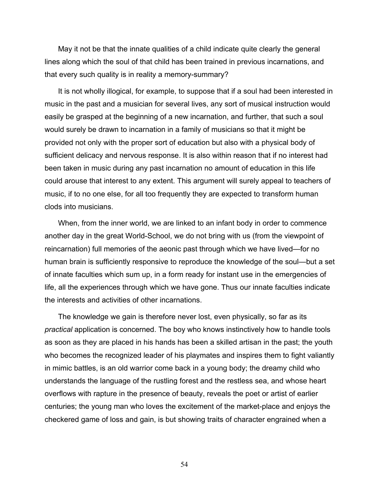May it not be that the innate qualities of a child indicate quite clearly the general lines along which the soul of that child has been trained in previous incarnations, and that every such quality is in reality a memory-summary?

It is not wholly illogical, for example, to suppose that if a soul had been interested in music in the past and a musician for several lives, any sort of musical instruction would easily be grasped at the beginning of a new incarnation, and further, that such a soul would surely be drawn to incarnation in a family of musicians so that it might be provided not only with the proper sort of education but also with a physical body of sufficient delicacy and nervous response. It is also within reason that if no interest had been taken in music during any past incarnation no amount of education in this life could arouse that interest to any extent. This argument will surely appeal to teachers of music, if to no one else, for all too frequently they are expected to transform human clods into musicians.

When, from the inner world, we are linked to an infant body in order to commence another day in the great World-School, we do not bring with us (from the viewpoint of reincarnation) full memories of the aeonic past through which we have lived—for no human brain is sufficiently responsive to reproduce the knowledge of the soul—but a set of innate faculties which sum up, in a form ready for instant use in the emergencies of life, all the experiences through which we have gone. Thus our innate faculties indicate the interests and activities of other incarnations.

The knowledge we gain is therefore never lost, even physically, so far as its *practical* application is concerned. The boy who knows instinctively how to handle tools as soon as they are placed in his hands has been a skilled artisan in the past; the youth who becomes the recognized leader of his playmates and inspires them to fight valiantly in mimic battles, is an old warrior come back in a young body; the dreamy child who understands the language of the rustling forest and the restless sea, and whose heart overflows with rapture in the presence of beauty, reveals the poet or artist of earlier centuries; the young man who loves the excitement of the market-place and enjoys the checkered game of loss and gain, is but showing traits of character engrained when a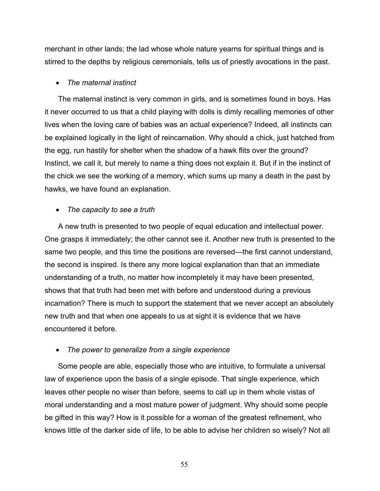merchant in other lands; the lad whose whole nature yearns for spiritual things and is stirred to the depths by religious ceremonials, tells us of priestly avocations in the past.

### • *The maternal instinct*

The maternal instinct is very common in girls, and is sometimes found in boys. Has it never occurred to us that a child playing with dolls is dimly recalling memories of other lives when the loving care of babies was an actual experience? Indeed, all instincts can be explained logically in the light of reincarnation. Why should a chick, just hatched from the egg, run hastily for shelter when the shadow of a hawk flits over the ground? Instinct, we call it, but merely to name a thing does not explain it. But if in the instinct of the chick we see the working of a memory, which sums up many a death in the past by hawks, we have found an explanation.

### • *The capacity to see a truth*

A new truth is presented to two people of equal education and intellectual power. One grasps it immediately; the other cannot see it. Another new truth is presented to the same two people, and this time the positions are reversed—the first cannot understand, the second is inspired. Is there any more logical explanation than that an immediate understanding of a truth, no matter how incompletely it may have been presented, shows that that truth had been met with before and understood during a previous incarnation? There is much to support the statement that we never accept an absolutely new truth and that when one appeals to us at sight it is evidence that we have encountered it before.

### • *The power to generalize from a single experience*

Some people are able, especially those who are intuitive, to formulate a universal law of experience upon the basis of a single episode. That single experience, which leaves other people no wiser than before, seems to call up in them whole vistas of moral understanding and a most mature power of judgment. Why should some people be gifted in this way? How is it possible for a woman of the greatest refinement, who knows little of the darker side of life, to be able to advise her children so wisely? Not all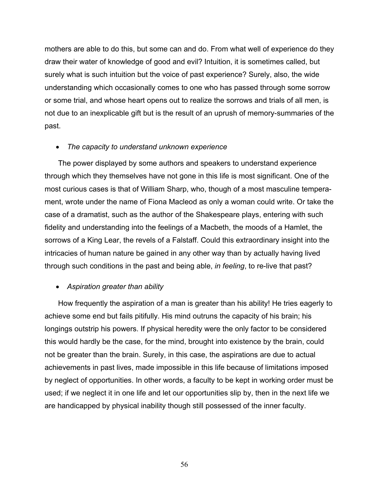mothers are able to do this, but some can and do. From what well of experience do they draw their water of knowledge of good and evil? Intuition, it is sometimes called, but surely what is such intuition but the voice of past experience? Surely, also, the wide understanding which occasionally comes to one who has passed through some sorrow or some trial, and whose heart opens out to realize the sorrows and trials of all men, is not due to an inexplicable gift but is the result of an uprush of memory-summaries of the past.

# • *The capacity to understand unknown experience*

The power displayed by some authors and speakers to understand experience through which they themselves have not gone in this life is most significant. One of the most curious cases is that of William Sharp, who, though of a most masculine temperament, wrote under the name of Fiona Macleod as only a woman could write. Or take the case of a dramatist, such as the author of the Shakespeare plays, entering with such fidelity and understanding into the feelings of a Macbeth, the moods of a Hamlet, the sorrows of a King Lear, the revels of a Falstaff. Could this extraordinary insight into the intricacies of human nature be gained in any other way than by actually having lived through such conditions in the past and being able, *in feeling*, to re-live that past?

# • *Aspiration greater than ability*

How frequently the aspiration of a man is greater than his ability! He tries eagerly to achieve some end but fails pitifully. His mind outruns the capacity of his brain; his longings outstrip his powers. If physical heredity were the only factor to be considered this would hardly be the case, for the mind, brought into existence by the brain, could not be greater than the brain. Surely, in this case, the aspirations are due to actual achievements in past lives, made impossible in this life because of limitations imposed by neglect of opportunities. In other words, a faculty to be kept in working order must be used; if we neglect it in one life and let our opportunities slip by, then in the next life we are handicapped by physical inability though still possessed of the inner faculty.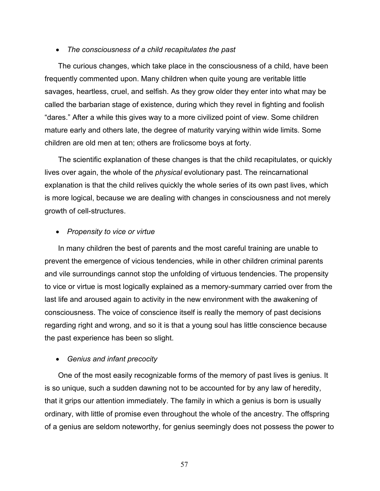### • *The consciousness of a child recapitulates the past*

The curious changes, which take place in the consciousness of a child, have been frequently commented upon. Many children when quite young are veritable little savages, heartless, cruel, and selfish. As they grow older they enter into what may be called the barbarian stage of existence, during which they revel in fighting and foolish "dares." After a while this gives way to a more civilized point of view. Some children mature early and others late, the degree of maturity varying within wide limits. Some children are old men at ten; others are frolicsome boys at forty.

The scientific explanation of these changes is that the child recapitulates, or quickly lives over again, the whole of the *physical* evolutionary past. The reincarnational explanation is that the child relives quickly the whole series of its own past lives, which is more logical, because we are dealing with changes in consciousness and not merely growth of cell-structures.

## • *Propensity to vice or virtue*

In many children the best of parents and the most careful training are unable to prevent the emergence of vicious tendencies, while in other children criminal parents and vile surroundings cannot stop the unfolding of virtuous tendencies. The propensity to vice or virtue is most logically explained as a memory-summary carried over from the last life and aroused again to activity in the new environment with the awakening of consciousness. The voice of conscience itself is really the memory of past decisions regarding right and wrong, and so it is that a young soul has little conscience because the past experience has been so slight.

### • *Genius and infant precocity*

One of the most easily recognizable forms of the memory of past lives is genius. It is so unique, such a sudden dawning not to be accounted for by any law of heredity, that it grips our attention immediately. The family in which a genius is born is usually ordinary, with little of promise even throughout the whole of the ancestry. The offspring of a genius are seldom noteworthy, for genius seemingly does not possess the power to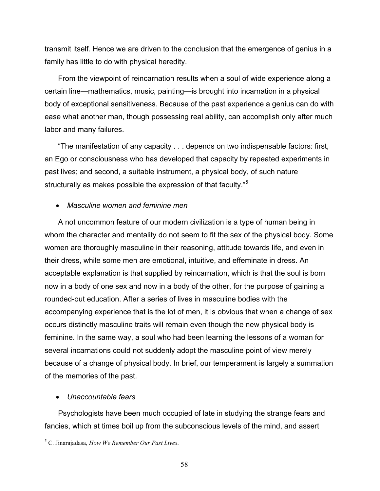transmit itself. Hence we are driven to the conclusion that the emergence of genius in a family has little to do with physical heredity.

From the viewpoint of reincarnation results when a soul of wide experience along a certain line—mathematics, music, painting—is brought into incarnation in a physical body of exceptional sensitiveness. Because of the past experience a genius can do with ease what another man, though possessing real ability, can accomplish only after much labor and many failures.

"The manifestation of any capacity . . . depends on two indispensable factors: first, an Ego or consciousness who has developed that capacity by repeated experiments in past lives; and second, a suitable instrument, a physical body, of such nature structurally as makes possible the expression of that faculty."<sup>5</sup>

# • *Masculine women and feminine men*

A not uncommon feature of our modern civilization is a type of human being in whom the character and mentality do not seem to fit the sex of the physical body. Some women are thoroughly masculine in their reasoning, attitude towards life, and even in their dress, while some men are emotional, intuitive, and effeminate in dress. An acceptable explanation is that supplied by reincarnation, which is that the soul is born now in a body of one sex and now in a body of the other, for the purpose of gaining a rounded-out education. After a series of lives in masculine bodies with the accompanying experience that is the lot of men, it is obvious that when a change of sex occurs distinctly masculine traits will remain even though the new physical body is feminine. In the same way, a soul who had been learning the lessons of a woman for several incarnations could not suddenly adopt the masculine point of view merely because of a change of physical body. In brief, our temperament is largely a summation of the memories of the past.

# • *Unaccountable fears*

 $\overline{a}$ 

Psychologists have been much occupied of late in studying the strange fears and fancies, which at times boil up from the subconscious levels of the mind, and assert

<sup>5</sup> C. Jinarajadasa, *How We Remember Our Past Lives*.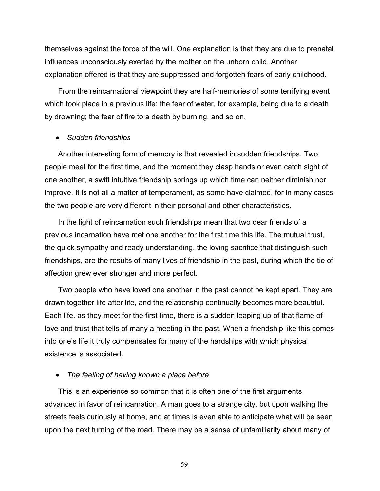themselves against the force of the will. One explanation is that they are due to prenatal influences unconsciously exerted by the mother on the unborn child. Another explanation offered is that they are suppressed and forgotten fears of early childhood.

From the reincarnational viewpoint they are half-memories of some terrifying event which took place in a previous life: the fear of water, for example, being due to a death by drowning; the fear of fire to a death by burning, and so on.

### • *Sudden friendships*

Another interesting form of memory is that revealed in sudden friendships. Two people meet for the first time, and the moment they clasp hands or even catch sight of one another, a swift intuitive friendship springs up which time can neither diminish nor improve. It is not all a matter of temperament, as some have claimed, for in many cases the two people are very different in their personal and other characteristics.

In the light of reincarnation such friendships mean that two dear friends of a previous incarnation have met one another for the first time this life. The mutual trust, the quick sympathy and ready understanding, the loving sacrifice that distinguish such friendships, are the results of many lives of friendship in the past, during which the tie of affection grew ever stronger and more perfect.

Two people who have loved one another in the past cannot be kept apart. They are drawn together life after life, and the relationship continually becomes more beautiful. Each life, as they meet for the first time, there is a sudden leaping up of that flame of love and trust that tells of many a meeting in the past. When a friendship like this comes into one's life it truly compensates for many of the hardships with which physical existence is associated.

### • *The feeling of having known a place before*

This is an experience so common that it is often one of the first arguments advanced in favor of reincarnation. A man goes to a strange city, but upon walking the streets feels curiously at home, and at times is even able to anticipate what will be seen upon the next turning of the road. There may be a sense of unfamiliarity about many of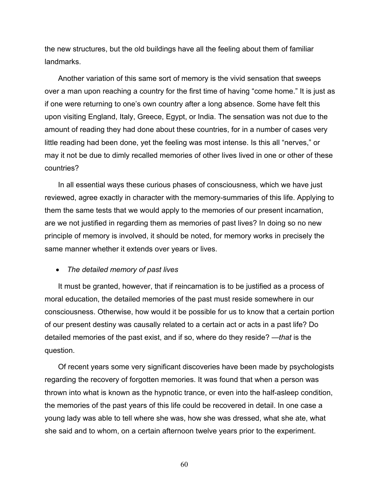the new structures, but the old buildings have all the feeling about them of familiar landmarks.

Another variation of this same sort of memory is the vivid sensation that sweeps over a man upon reaching a country for the first time of having "come home." It is just as if one were returning to one's own country after a long absence. Some have felt this upon visiting England, Italy, Greece, Egypt, or India. The sensation was not due to the amount of reading they had done about these countries, for in a number of cases very little reading had been done, yet the feeling was most intense. Is this all "nerves," or may it not be due to dimly recalled memories of other lives lived in one or other of these countries?

In all essential ways these curious phases of consciousness, which we have just reviewed, agree exactly in character with the memory-summaries of this life. Applying to them the same tests that we would apply to the memories of our present incarnation, are we not justified in regarding them as memories of past lives? In doing so no new principle of memory is involved, it should be noted, for memory works in precisely the same manner whether it extends over years or lives.

• *The detailed memory of past lives*

It must be granted, however, that if reincarnation is to be justified as a process of moral education, the detailed memories of the past must reside somewhere in our consciousness. Otherwise, how would it be possible for us to know that a certain portion of our present destiny was causally related to a certain act or acts in a past life? Do detailed memories of the past exist, and if so, where do they reside? —*that* is the question.

Of recent years some very significant discoveries have been made by psychologists regarding the recovery of forgotten memories. It was found that when a person was thrown into what is known as the hypnotic trance, or even into the half-asleep condition, the memories of the past years of this life could be recovered in detail. In one case a young lady was able to tell where she was, how she was dressed, what she ate, what she said and to whom, on a certain afternoon twelve years prior to the experiment.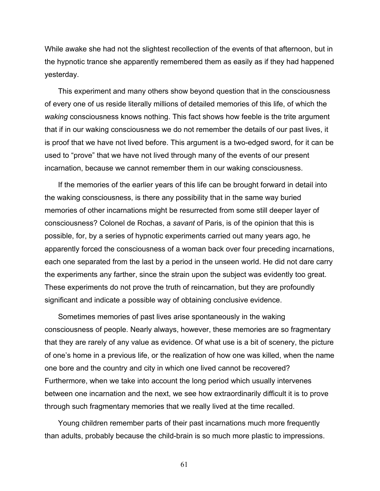While awake she had not the slightest recollection of the events of that afternoon, but in the hypnotic trance she apparently remembered them as easily as if they had happened yesterday.

This experiment and many others show beyond question that in the consciousness of every one of us reside literally millions of detailed memories of this life, of which the *waking* consciousness knows nothing. This fact shows how feeble is the trite argument that if in our waking consciousness we do not remember the details of our past lives, it is proof that we have not lived before. This argument is a two-edged sword, for it can be used to "prove" that we have not lived through many of the events of our present incarnation, because we cannot remember them in our waking consciousness.

If the memories of the earlier years of this life can be brought forward in detail into the waking consciousness, is there any possibility that in the same way buried memories of other incarnations might be resurrected from some still deeper layer of consciousness? Colonel de Rochas, a *savant* of Paris, is of the opinion that this is possible, for, by a series of hypnotic experiments carried out many years ago, he apparently forced the consciousness of a woman back over four preceding incarnations, each one separated from the last by a period in the unseen world. He did not dare carry the experiments any farther, since the strain upon the subject was evidently too great. These experiments do not prove the truth of reincarnation, but they are profoundly significant and indicate a possible way of obtaining conclusive evidence.

Sometimes memories of past lives arise spontaneously in the waking consciousness of people. Nearly always, however, these memories are so fragmentary that they are rarely of any value as evidence. Of what use is a bit of scenery, the picture of one's home in a previous life, or the realization of how one was killed, when the name one bore and the country and city in which one lived cannot be recovered? Furthermore, when we take into account the long period which usually intervenes between one incarnation and the next, we see how extraordinarily difficult it is to prove through such fragmentary memories that we really lived at the time recalled.

Young children remember parts of their past incarnations much more frequently than adults, probably because the child-brain is so much more plastic to impressions.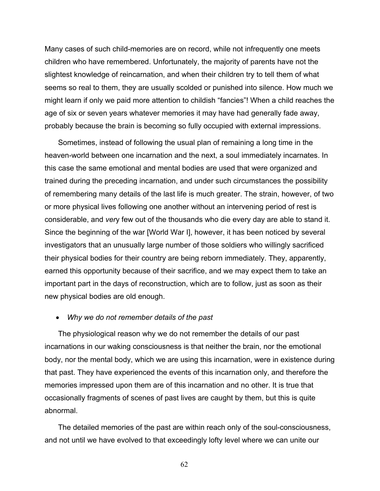Many cases of such child-memories are on record, while not infrequently one meets children who have remembered. Unfortunately, the majority of parents have not the slightest knowledge of reincarnation, and when their children try to tell them of what seems so real to them, they are usually scolded or punished into silence. How much we might learn if only we paid more attention to childish "fancies"! When a child reaches the age of six or seven years whatever memories it may have had generally fade away, probably because the brain is becoming so fully occupied with external impressions.

Sometimes, instead of following the usual plan of remaining a long time in the heaven-world between one incarnation and the next, a soul immediately incarnates. In this case the same emotional and mental bodies are used that were organized and trained during the preceding incarnation, and under such circumstances the possibility of remembering many details of the last life is much greater. The strain, however, of two or more physical lives following one another without an intervening period of rest is considerable, and *ver*y few out of the thousands who die every day are able to stand it. Since the beginning of the war [World War I], however, it has been noticed by several investigators that an unusually large number of those soldiers who willingly sacrificed their physical bodies for their country are being reborn immediately. They, apparently, earned this opportunity because of their sacrifice, and we may expect them to take an important part in the days of reconstruction, which are to follow, just as soon as their new physical bodies are old enough.

### • *Why we do not remember details of the past*

The physiological reason why we do not remember the details of our past incarnations in our waking consciousness is that neither the brain, nor the emotional body, nor the mental body, which we are using this incarnation, were in existence during that past. They have experienced the events of this incarnation only, and therefore the memories impressed upon them are of this incarnation and no other. It is true that occasionally fragments of scenes of past lives are caught by them, but this is quite abnormal.

The detailed memories of the past are within reach only of the soul-consciousness, and not until we have evolved to that exceedingly lofty level where we can unite our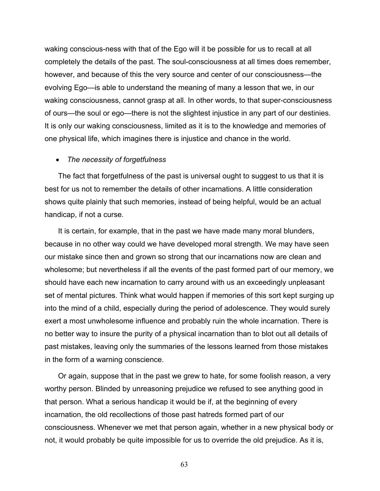waking conscious-ness with that of the Ego will it be possible for us to recall at all completely the details of the past. The soul-consciousness at all times does remember, however, and because of this the very source and center of our consciousness—the evolving Ego—is able to understand the meaning of many a lesson that we, in our waking consciousness, cannot grasp at all. In other words, to that super-consciousness of ours—the soul or ego—there is not the slightest injustice in any part of our destinies. It is only our waking consciousness, limited as it is to the knowledge and memories of one physical life, which imagines there is injustice and chance in the world.

### • *The necessity of forgetfulness*

The fact that forgetfulness of the past is universal ought to suggest to us that it is best for us not to remember the details of other incarnations. A little consideration shows quite plainly that such memories, instead of being helpful, would be an actual handicap, if not a curse.

It is certain, for example, that in the past we have made many moral blunders, because in no other way could we have developed moral strength. We may have seen our mistake since then and grown so strong that our incarnations now are clean and wholesome; but nevertheless if all the events of the past formed part of our memory, we should have each new incarnation to carry around with us an exceedingly unpleasant set of mental pictures. Think what would happen if memories of this sort kept surging up into the mind of a child, especially during the period of adolescence. They would surely exert a most unwholesome influence and probably ruin the whole incarnation. There is no better way to insure the purity of a physical incarnation than to blot out all details of past mistakes, leaving only the summaries of the lessons learned from those mistakes in the form of a warning conscience.

Or again, suppose that in the past we grew to hate, for some foolish reason, a very worthy person. Blinded by unreasoning prejudice we refused to see anything good in that person. What a serious handicap it would be if, at the beginning of every incarnation, the old recollections of those past hatreds formed part of our consciousness. Whenever we met that person again, whether in a new physical body or not, it would probably be quite impossible for us to override the old prejudice. As it is,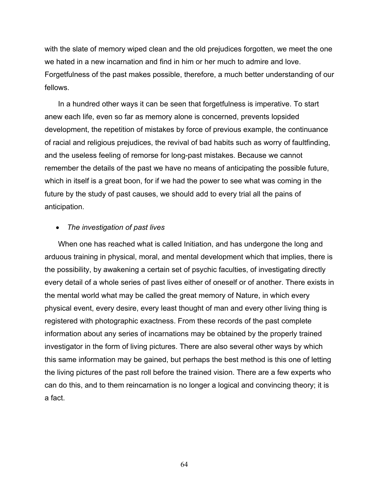with the slate of memory wiped clean and the old prejudices forgotten, we meet the one we hated in a new incarnation and find in him or her much to admire and love. Forgetfulness of the past makes possible, therefore, a much better understanding of our fellows.

In a hundred other ways it can be seen that forgetfulness is imperative. To start anew each life, even so far as memory alone is concerned, prevents lopsided development, the repetition of mistakes by force of previous example, the continuance of racial and religious prejudices, the revival of bad habits such as worry of faultfinding, and the useless feeling of remorse for long-past mistakes. Because we cannot remember the details of the past we have no means of anticipating the possible future, which in itself is a great boon, for if we had the power to see what was coming in the future by the study of past causes, we should add to every trial all the pains of anticipation.

## • *The investigation of past lives*

When one has reached what is called Initiation, and has undergone the long and arduous training in physical, moral, and mental development which that implies, there is the possibility, by awakening a certain set of psychic faculties, of investigating directly every detail of a whole series of past lives either of oneself or of another. There exists in the mental world what may be called the great memory of Nature, in which every physical event, every desire, every least thought of man and every other living thing is registered with photographic exactness. From these records of the past complete information about any series of incarnations may be obtained by the properly trained investigator in the form of living pictures. There are also several other ways by which this same information may be gained, but perhaps the best method is this one of letting the living pictures of the past roll before the trained vision. There are a few experts who can do this, and to them reincarnation is no longer a logical and convincing theory; it is a fact.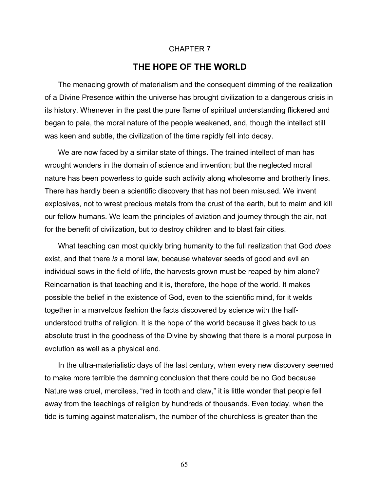### CHAPTER 7

# **THE HOPE OF THE WORLD**

The menacing growth of materialism and the consequent dimming of the realization of a Divine Presence within the universe has brought civilization to a dangerous crisis in its history. Whenever in the past the pure flame of spiritual understanding flickered and began to pale, the moral nature of the people weakened, and, though the intellect still was keen and subtle, the civilization of the time rapidly fell into decay.

We are now faced by a similar state of things. The trained intellect of man has wrought wonders in the domain of science and invention; but the neglected moral nature has been powerless to guide such activity along wholesome and brotherly lines. There has hardly been a scientific discovery that has not been misused. We invent explosives, not to wrest precious metals from the crust of the earth, but to maim and kill our fellow humans. We learn the principles of aviation and journey through the air, not for the benefit of civilization, but to destroy children and to blast fair cities.

What teaching can most quickly bring humanity to the full realization that God *does* exist, and that there *is* a moral law, because whatever seeds of good and evil an individual sows in the field of life, the harvests grown must be reaped by him alone? Reincarnation is that teaching and it is, therefore, the hope of the world. It makes possible the belief in the existence of God, even to the scientific mind, for it welds together in a marvelous fashion the facts discovered by science with the halfunderstood truths of religion. It is the hope of the world because it gives back to us absolute trust in the goodness of the Divine by showing that there is a moral purpose in evolution as well as a physical end.

In the ultra-materialistic days of the last century, when every new discovery seemed to make more terrible the damning conclusion that there could be no God because Nature was cruel, merciless, "red in tooth and claw," it is little wonder that people fell away from the teachings of religion by hundreds of thousands. Even today, when the tide is turning against materialism, the number of the churchless is greater than the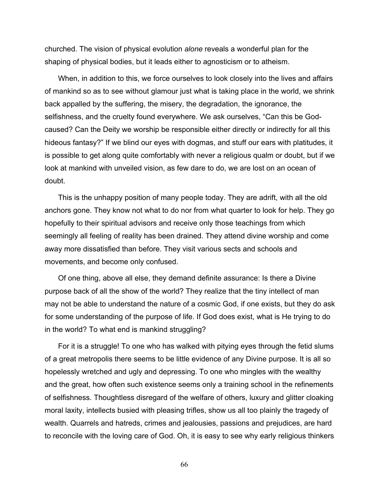churched. The vision of physical evolution *alone* reveals a wonderful plan for the shaping of physical bodies, but it leads either to agnosticism or to atheism.

When, in addition to this, we force ourselves to look closely into the lives and affairs of mankind so as to see without glamour just what is taking place in the world, we shrink back appalled by the suffering, the misery, the degradation, the ignorance, the selfishness, and the cruelty found everywhere. We ask ourselves, "Can this be Godcaused? Can the Deity we worship be responsible either directly or indirectly for all this hideous fantasy?" If we blind our eyes with dogmas, and stuff our ears with platitudes, it is possible to get along quite comfortably with never a religious qualm or doubt, but if we look at mankind with unveiled vision, as few dare to do, we are lost on an ocean of doubt.

This is the unhappy position of many people today. They are adrift, with all the old anchors gone. They know not what to do nor from what quarter to look for help. They go hopefully to their spiritual advisors and receive only those teachings from which seemingly all feeling of reality has been drained. They attend divine worship and come away more dissatisfied than before. They visit various sects and schools and movements, and become only confused.

Of one thing, above all else, they demand definite assurance: Is there a Divine purpose back of all the show of the world? They realize that the tiny intellect of man may not be able to understand the nature of a cosmic God, if one exists, but they do ask for some understanding of the purpose of life. If God does exist, what is He trying to do in the world? To what end is mankind struggling?

For it is a struggle! To one who has walked with pitying eyes through the fetid slums of a great metropolis there seems to be little evidence of any Divine purpose. It is all so hopelessly wretched and ugly and depressing. To one who mingles with the wealthy and the great, how often such existence seems only a training school in the refinements of selfishness. Thoughtless disregard of the welfare of others, luxury and glitter cloaking moral laxity, intellects busied with pleasing trifles, show us all too plainly the tragedy of wealth. Quarrels and hatreds, crimes and jealousies, passions and prejudices, are hard to reconcile with the loving care of God. Oh, it is easy to see why early religious thinkers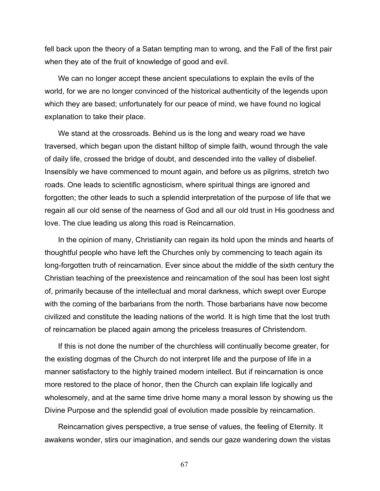fell back upon the theory of a Satan tempting man to wrong, and the Fall of the first pair when they ate of the fruit of knowledge of good and evil.

We can no longer accept these ancient speculations to explain the evils of the world, for we are no longer convinced of the historical authenticity of the legends upon which they are based; unfortunately for our peace of mind, we have found no logical explanation to take their place.

We stand at the crossroads. Behind us is the long and weary road we have traversed, which began upon the distant hilltop of simple faith, wound through the vale of daily life, crossed the bridge of doubt, and descended into the valley of disbelief. Insensibly we have commenced to mount again, and before us as pilgrims, stretch two roads. One leads to scientific agnosticism, where spiritual things are ignored and forgotten; the other leads to such a splendid interpretation of the purpose of life that we regain all our old sense of the nearness of God and all our old trust in His goodness and love. The clue leading us along this road is Reincarnation.

In the opinion of many, Christianity can regain its hold upon the minds and hearts of thoughtful people who have left the Churches only by commencing to teach again its long-forgotten truth of reincarnation. Ever since about the middle of the sixth century the Christian teaching of the preexistence and reincarnation of the soul has been lost sight of, primarily because of the intellectual and moral darkness, which swept over Europe with the coming of the barbarians from the north. Those barbarians have now become civilized and constitute the leading nations of the world. It is high time that the lost truth of reincarnation be placed again among the priceless treasures of Christendom.

If this is not done the number of the churchless will continually become greater, for the existing dogmas of the Church do not interpret life and the purpose of life in a manner satisfactory to the highly trained modern intellect. But if reincarnation is once more restored to the place of honor, then the Church can explain life logically and wholesomely, and at the same time drive home many a moral lesson by showing us the Divine Purpose and the splendid goal of evolution made possible by reincarnation.

Reincarnation gives perspective, a true sense of values, the feeling of Eternity. It awakens wonder, stirs our imagination, and sends our gaze wandering down the vistas